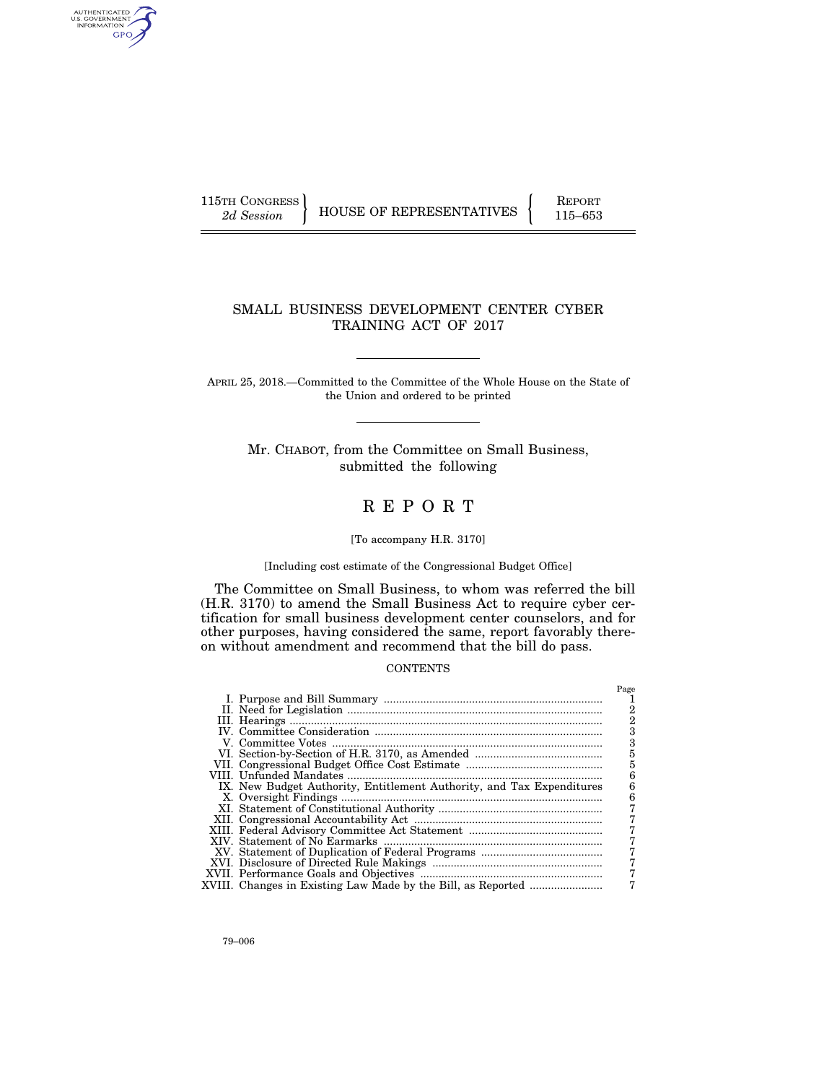AUTHENTICATED<br>U.S. GOVERNMENT<br>INFORMATION GPO

115TH CONGRESS HOUSE OF REPRESENTATIVES FEPORT 115–653

## SMALL BUSINESS DEVELOPMENT CENTER CYBER TRAINING ACT OF 2017

APRIL 25, 2018.—Committed to the Committee of the Whole House on the State of the Union and ordered to be printed

Mr. CHABOT, from the Committee on Small Business, submitted the following

# R E P O R T

## [To accompany H.R. 3170]

#### [Including cost estimate of the Congressional Budget Office]

The Committee on Small Business, to whom was referred the bill (H.R. 3170) to amend the Small Business Act to require cyber certification for small business development center counselors, and for other purposes, having considered the same, report favorably thereon without amendment and recommend that the bill do pass.

## **CONTENTS**

|                                                                       | Page |
|-----------------------------------------------------------------------|------|
|                                                                       |      |
|                                                                       |      |
|                                                                       |      |
|                                                                       |      |
|                                                                       |      |
|                                                                       | 5    |
|                                                                       | 5    |
|                                                                       | հ    |
| IX. New Budget Authority, Entitlement Authority, and Tax Expenditures |      |
|                                                                       | հ    |
|                                                                       |      |
|                                                                       |      |
|                                                                       |      |
|                                                                       |      |
|                                                                       |      |
|                                                                       |      |
|                                                                       |      |
|                                                                       |      |
| XVIII. Changes in Existing Law Made by the Bill, as Reported          |      |
|                                                                       |      |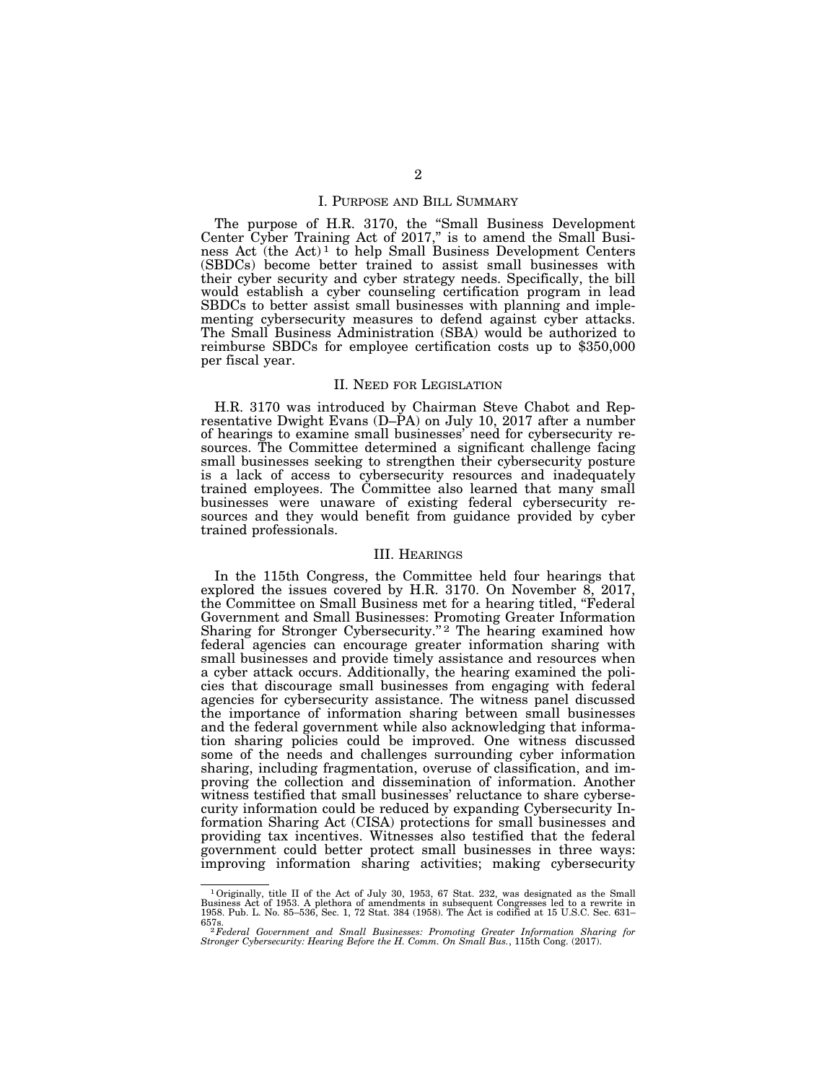## I. PURPOSE AND BILL SUMMARY

The purpose of H.R. 3170, the ''Small Business Development Center Cyber Training Act of 2017," is to amend the Small Business Act (the Act) 1 to help Small Business Development Centers (SBDCs) become better trained to assist small businesses with their cyber security and cyber strategy needs. Specifically, the bill would establish a cyber counseling certification program in lead SBDCs to better assist small businesses with planning and implementing cybersecurity measures to defend against cyber attacks. The Small Business Administration (SBA) would be authorized to reimburse SBDCs for employee certification costs up to \$350,000 per fiscal year.

## II. NEED FOR LEGISLATION

H.R. 3170 was introduced by Chairman Steve Chabot and Representative Dwight Evans  $(D-\hat{P}A)$  on July 10, 2017 after a number of hearings to examine small businesses' need for cybersecurity resources. The Committee determined a significant challenge facing small businesses seeking to strengthen their cybersecurity posture is a lack of access to cybersecurity resources and inadequately trained employees. The Committee also learned that many small businesses were unaware of existing federal cybersecurity resources and they would benefit from guidance provided by cyber trained professionals.

## III. HEARINGS

In the 115th Congress, the Committee held four hearings that explored the issues covered by H.R. 3170. On November 8, 2017, the Committee on Small Business met for a hearing titled, "Federal Government and Small Businesses: Promoting Greater Information Sharing for Stronger Cybersecurity."<sup>2</sup> The hearing examined how federal agencies can encourage greater information sharing with small businesses and provide timely assistance and resources when a cyber attack occurs. Additionally, the hearing examined the policies that discourage small businesses from engaging with federal agencies for cybersecurity assistance. The witness panel discussed the importance of information sharing between small businesses and the federal government while also acknowledging that information sharing policies could be improved. One witness discussed some of the needs and challenges surrounding cyber information sharing, including fragmentation, overuse of classification, and improving the collection and dissemination of information. Another witness testified that small businesses' reluctance to share cybersecurity information could be reduced by expanding Cybersecurity Information Sharing Act (CISA) protections for small businesses and providing tax incentives. Witnesses also testified that the federal government could better protect small businesses in three ways: improving information sharing activities; making cybersecurity

 $1$  Originally, title II of the Act of July 30, 1953, 67 Stat. 232, was designated as the Small Business Act of 1953. A plethora of amendments in subsequent Congresses led to a rewrite in 1958. Pub. L. No. 85–536, Sec. 1,

<sup>657</sup>s. 2*Federal Government and Small Businesses: Promoting Greater Information Sharing for Stronger Cybersecurity: Hearing Before the H. Comm. On Small Bus.*, 115th Cong. (2017).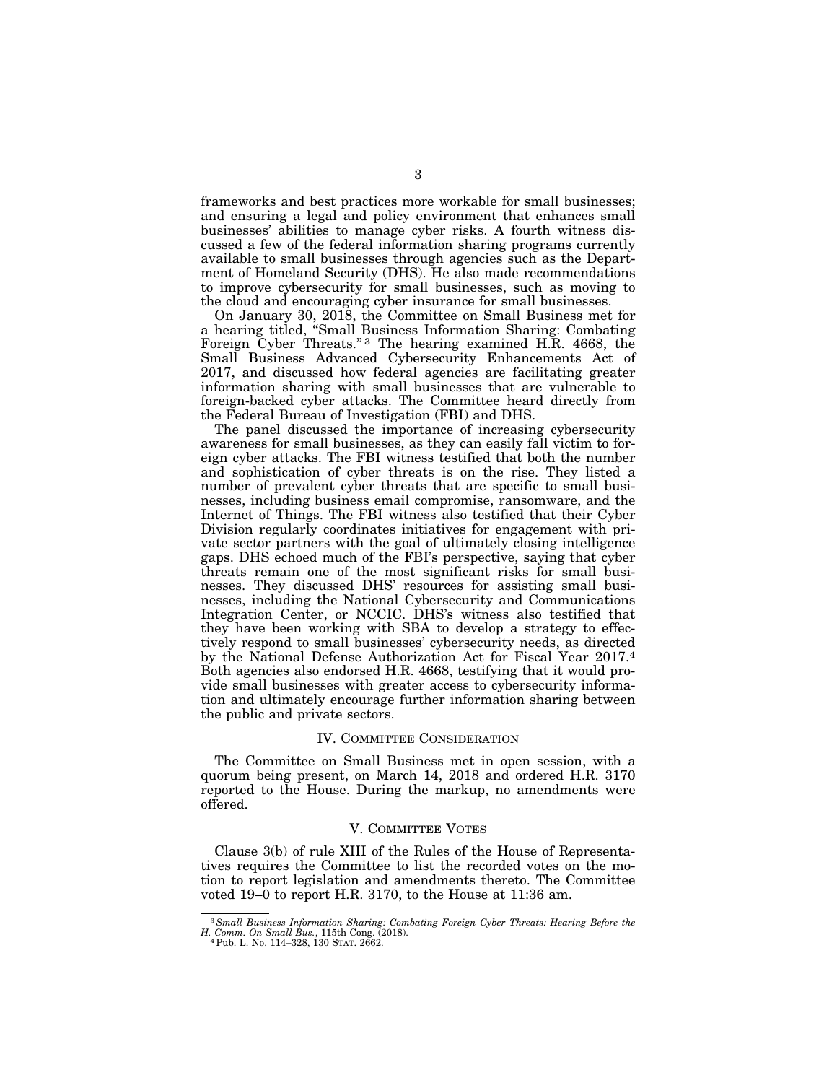frameworks and best practices more workable for small businesses; and ensuring a legal and policy environment that enhances small businesses' abilities to manage cyber risks. A fourth witness discussed a few of the federal information sharing programs currently available to small businesses through agencies such as the Department of Homeland Security (DHS). He also made recommendations to improve cybersecurity for small businesses, such as moving to the cloud and encouraging cyber insurance for small businesses.

On January 30, 2018, the Committee on Small Business met for a hearing titled, ''Small Business Information Sharing: Combating Foreign Cyber Threats."<sup>3</sup> The hearing examined H.R. 4668, the Small Business Advanced Cybersecurity Enhancements Act of 2017, and discussed how federal agencies are facilitating greater information sharing with small businesses that are vulnerable to foreign-backed cyber attacks. The Committee heard directly from the Federal Bureau of Investigation (FBI) and DHS.

The panel discussed the importance of increasing cybersecurity awareness for small businesses, as they can easily fall victim to foreign cyber attacks. The FBI witness testified that both the number and sophistication of cyber threats is on the rise. They listed a number of prevalent cyber threats that are specific to small businesses, including business email compromise, ransomware, and the Internet of Things. The FBI witness also testified that their Cyber Division regularly coordinates initiatives for engagement with private sector partners with the goal of ultimately closing intelligence gaps. DHS echoed much of the FBI's perspective, saying that cyber threats remain one of the most significant risks for small businesses. They discussed DHS' resources for assisting small businesses, including the National Cybersecurity and Communications Integration Center, or NCCIC. DHS's witness also testified that they have been working with SBA to develop a strategy to effectively respond to small businesses' cybersecurity needs, as directed by the National Defense Authorization Act for Fiscal Year 2017.4 Both agencies also endorsed H.R. 4668, testifying that it would provide small businesses with greater access to cybersecurity information and ultimately encourage further information sharing between the public and private sectors.

#### IV. COMMITTEE CONSIDERATION

The Committee on Small Business met in open session, with a quorum being present, on March 14, 2018 and ordered H.R. 3170 reported to the House. During the markup, no amendments were offered.

#### V. COMMITTEE VOTES

Clause 3(b) of rule XIII of the Rules of the House of Representatives requires the Committee to list the recorded votes on the motion to report legislation and amendments thereto. The Committee voted 19–0 to report H.R. 3170, to the House at 11:36 am.

<sup>3</sup>*Small Business Information Sharing: Combating Foreign Cyber Threats: Hearing Before the H. Comm. On Small Bus.*, 115th Cong. (2018). 4Pub. L. No. 114–328, 130 STAT. 2662.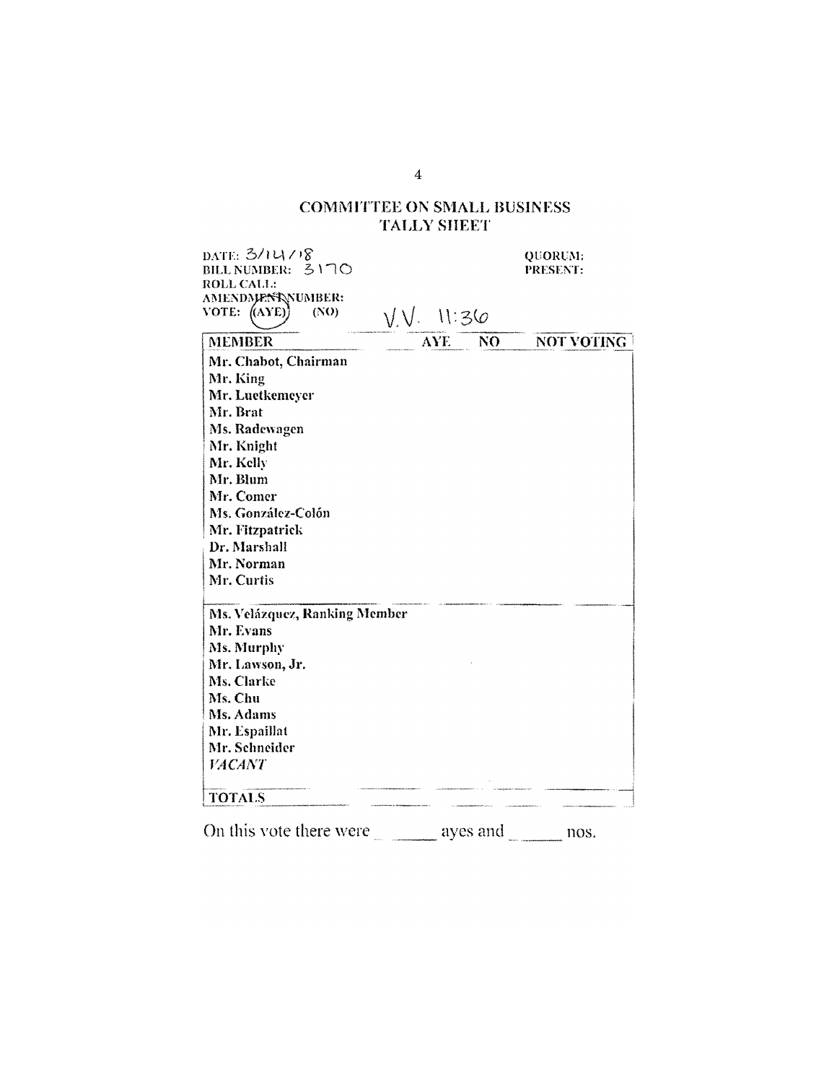## **COMMITTEE ON SMALL BUSINESS TALLY SHEET**

DATE: 3/14/18 QUORUM: BILL NUMBER: 3170 PRESENT: ROLL CALL: AMENDMENT NUMBER:  $(NO)$ VOTE:  $(AYE)$  $V.V. 11:36$ **MEMBER** AYE<sup>1</sup>  $N<sub>0</sub>$ NOT VOTING Mr. Chabot, Chairman Mr. King Mr. Luetkemeyer Mr. Brat Ms. Radewagen Mr. Knight Mr. Kelly Mr. Blum Mr. Comer Ms. González-Colón Mr. Fitzpatrick Dr. Marshall Mr. Norman Mr. Curtis Ms. Velázquez, Ranking Member Mr. Evans Ms. Murphy Mr. Lawson, Jr. Ms. Clarke Ms. Chu Ms. Adams Mr. Espaillat Mr. Schneider **FACANT TOTALS** 

On this vote there were  $\_\_\_\_\_\_\$  ayes and  $\_\_\_\_\_\$ nos.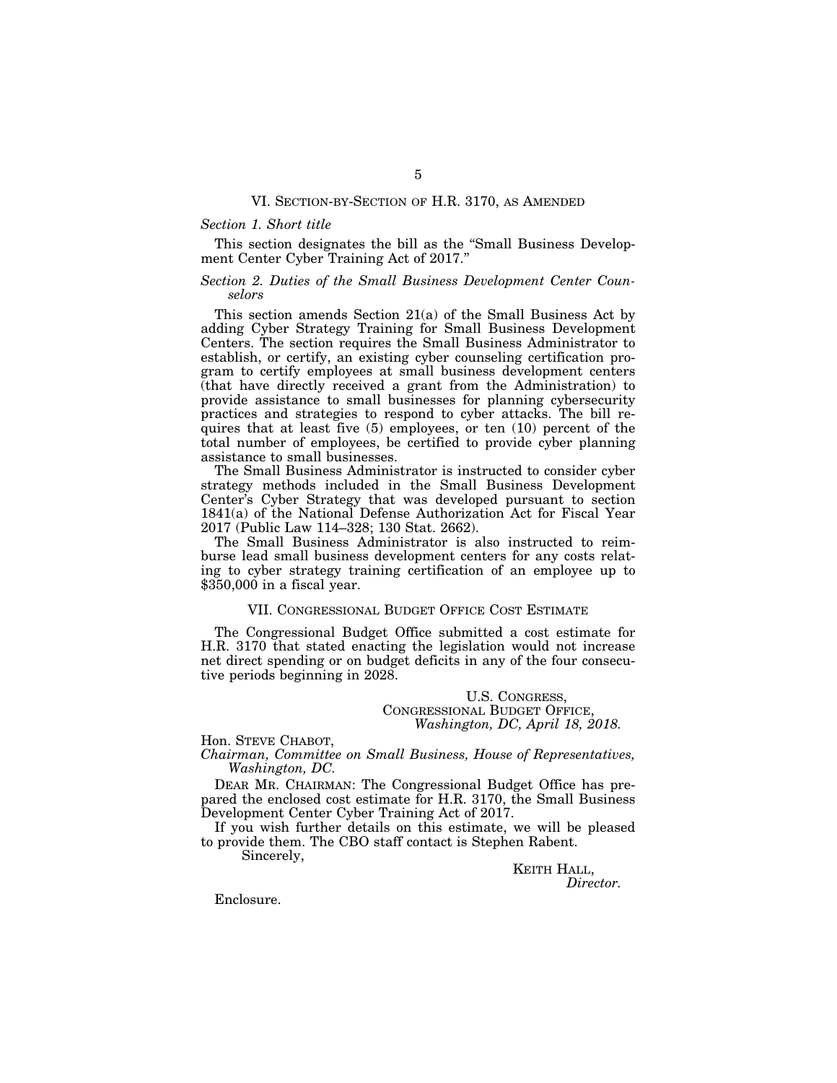## VI. SECTION-BY-SECTION OF H.R. 3170, AS AMENDED

## *Section 1. Short title*

This section designates the bill as the ''Small Business Development Center Cyber Training Act of 2017.''

## *Section 2. Duties of the Small Business Development Center Counselors*

This section amends Section 21(a) of the Small Business Act by adding Cyber Strategy Training for Small Business Development Centers. The section requires the Small Business Administrator to establish, or certify, an existing cyber counseling certification program to certify employees at small business development centers (that have directly received a grant from the Administration) to provide assistance to small businesses for planning cybersecurity practices and strategies to respond to cyber attacks. The bill requires that at least five (5) employees, or ten (10) percent of the total number of employees, be certified to provide cyber planning assistance to small businesses.

The Small Business Administrator is instructed to consider cyber strategy methods included in the Small Business Development Center's Cyber Strategy that was developed pursuant to section 1841(a) of the National Defense Authorization Act for Fiscal Year 2017 (Public Law 114–328; 130 Stat. 2662).

The Small Business Administrator is also instructed to reimburse lead small business development centers for any costs relating to cyber strategy training certification of an employee up to \$350,000 in a fiscal year.

## VII. CONGRESSIONAL BUDGET OFFICE COST ESTIMATE

The Congressional Budget Office submitted a cost estimate for H.R. 3170 that stated enacting the legislation would not increase net direct spending or on budget deficits in any of the four consecutive periods beginning in 2028.

> U.S. CONGRESS, CONGRESSIONAL BUDGET OFFICE, *Washington, DC, April 18, 2018.*

Hon. STEVE CHABOT,

*Chairman, Committee on Small Business, House of Representatives, Washington, DC.* 

DEAR MR. CHAIRMAN: The Congressional Budget Office has prepared the enclosed cost estimate for H.R. 3170, the Small Business Development Center Cyber Training Act of 2017.

If you wish further details on this estimate, we will be pleased to provide them. The CBO staff contact is Stephen Rabent.

Sincerely,

KEITH HALL, *Director.* 

Enclosure.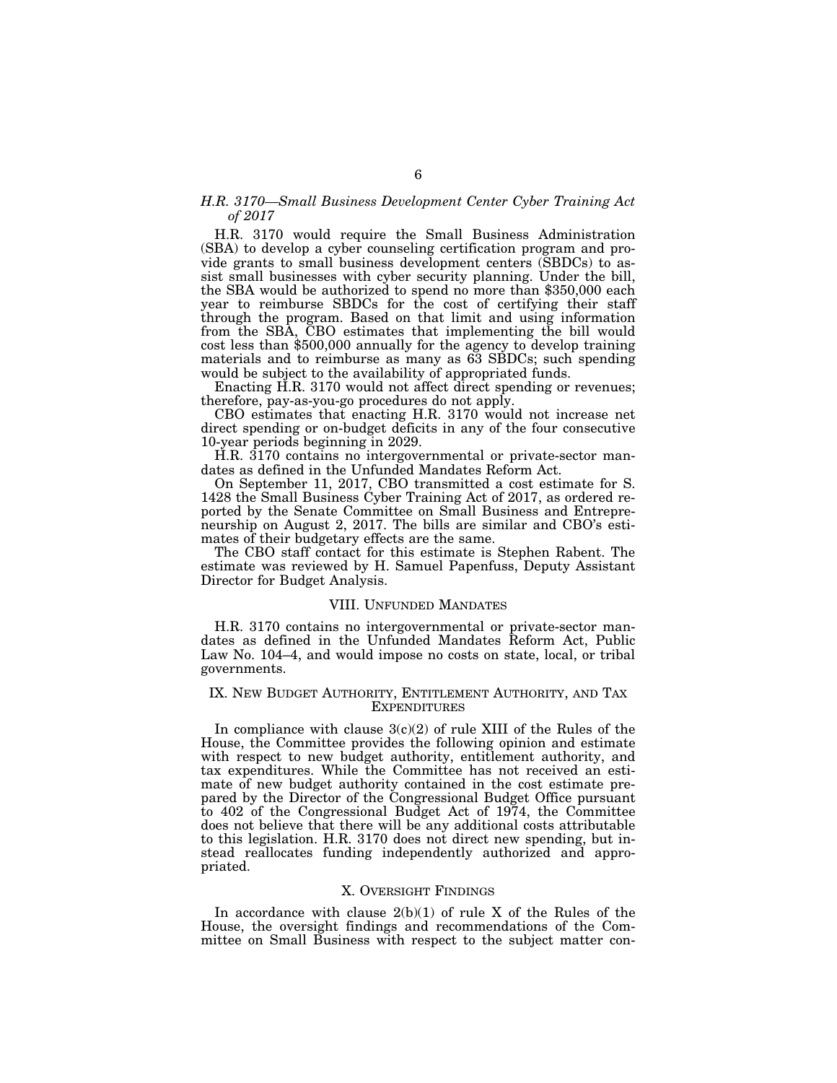## *H.R. 3170—Small Business Development Center Cyber Training Act of 2017*

H.R. 3170 would require the Small Business Administration (SBA) to develop a cyber counseling certification program and provide grants to small business development centers (SBDCs) to assist small businesses with cyber security planning. Under the bill, the SBA would be authorized to spend no more than \$350,000 each year to reimburse SBDCs for the cost of certifying their staff through the program. Based on that limit and using information from the SBA, CBO estimates that implementing the bill would cost less than \$500,000 annually for the agency to develop training materials and to reimburse as many as 63 SBDCs; such spending would be subject to the availability of appropriated funds.

Enacting H.R. 3170 would not affect direct spending or revenues; therefore, pay-as-you-go procedures do not apply.

CBO estimates that enacting H.R. 3170 would not increase net direct spending or on-budget deficits in any of the four consecutive 10-year periods beginning in 2029.

H.R. 3170 contains no intergovernmental or private-sector mandates as defined in the Unfunded Mandates Reform Act.

On September 11, 2017, CBO transmitted a cost estimate for S. 1428 the Small Business Cyber Training Act of 2017, as ordered reported by the Senate Committee on Small Business and Entrepreneurship on August 2, 2017. The bills are similar and CBO's estimates of their budgetary effects are the same.

The CBO staff contact for this estimate is Stephen Rabent. The estimate was reviewed by H. Samuel Papenfuss, Deputy Assistant Director for Budget Analysis.

## VIII. UNFUNDED MANDATES

H.R. 3170 contains no intergovernmental or private-sector mandates as defined in the Unfunded Mandates Reform Act, Public Law No. 104–4, and would impose no costs on state, local, or tribal governments.

## IX. NEW BUDGET AUTHORITY, ENTITLEMENT AUTHORITY, AND TAX EXPENDITURES

In compliance with clause  $3(c)(2)$  of rule XIII of the Rules of the House, the Committee provides the following opinion and estimate with respect to new budget authority, entitlement authority, and tax expenditures. While the Committee has not received an estimate of new budget authority contained in the cost estimate prepared by the Director of the Congressional Budget Office pursuant to 402 of the Congressional Budget Act of 1974, the Committee does not believe that there will be any additional costs attributable to this legislation. H.R. 3170 does not direct new spending, but instead reallocates funding independently authorized and appropriated.

#### X. OVERSIGHT FINDINGS

In accordance with clause  $2(b)(1)$  of rule X of the Rules of the House, the oversight findings and recommendations of the Committee on Small Business with respect to the subject matter con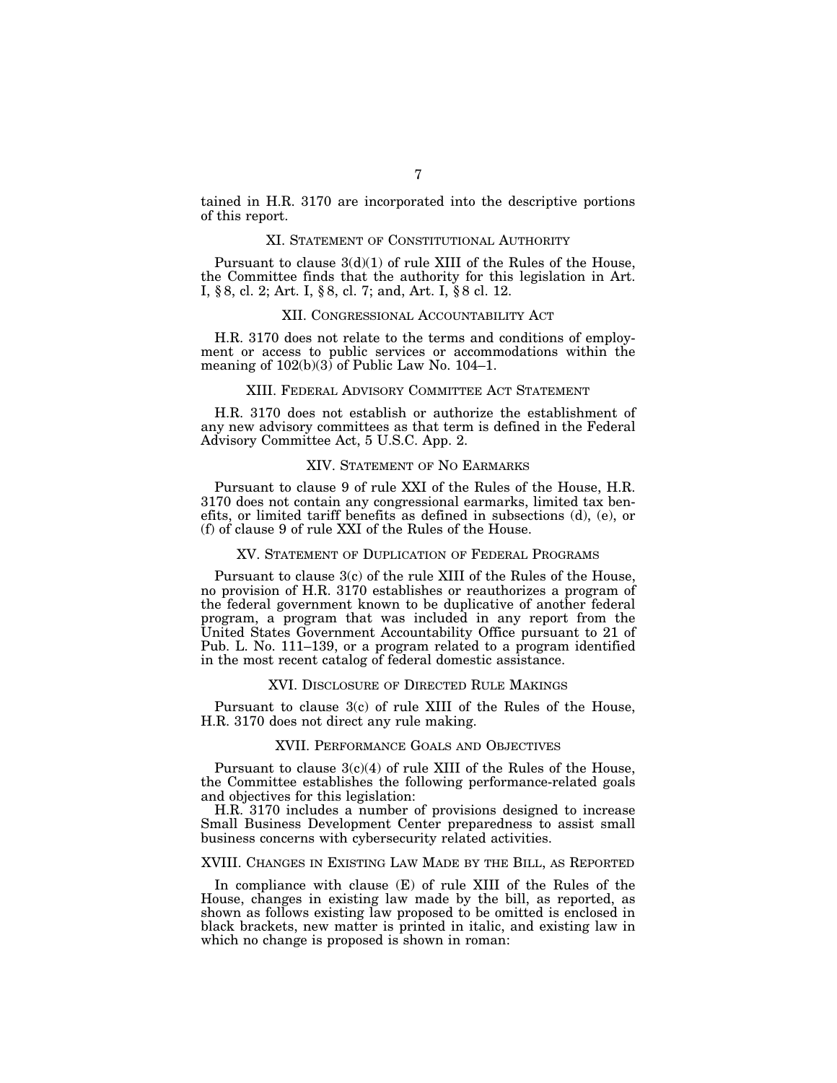tained in H.R. 3170 are incorporated into the descriptive portions of this report.

## XI. STATEMENT OF CONSTITUTIONAL AUTHORITY

Pursuant to clause  $3(d)(1)$  of rule XIII of the Rules of the House, the Committee finds that the authority for this legislation in Art. I, § 8, cl. 2; Art. I, § 8, cl. 7; and, Art. I, § 8 cl. 12.

## XII. CONGRESSIONAL ACCOUNTABILITY ACT

H.R. 3170 does not relate to the terms and conditions of employment or access to public services or accommodations within the meaning of  $102(b)(3)$  of Public Law No. 104–1.

#### XIII. FEDERAL ADVISORY COMMITTEE ACT STATEMENT

H.R. 3170 does not establish or authorize the establishment of any new advisory committees as that term is defined in the Federal Advisory Committee Act, 5 U.S.C. App. 2.

## XIV. STATEMENT OF NO EARMARKS

Pursuant to clause 9 of rule XXI of the Rules of the House, H.R. 3170 does not contain any congressional earmarks, limited tax benefits, or limited tariff benefits as defined in subsections (d), (e), or (f) of clause 9 of rule XXI of the Rules of the House.

### XV. STATEMENT OF DUPLICATION OF FEDERAL PROGRAMS

Pursuant to clause 3(c) of the rule XIII of the Rules of the House, no provision of H.R. 3170 establishes or reauthorizes a program of the federal government known to be duplicative of another federal program, a program that was included in any report from the United States Government Accountability Office pursuant to 21 of Pub. L. No. 111–139, or a program related to a program identified in the most recent catalog of federal domestic assistance.

#### XVI. DISCLOSURE OF DIRECTED RULE MAKINGS

Pursuant to clause 3(c) of rule XIII of the Rules of the House, H.R. 3170 does not direct any rule making.

## XVII. PERFORMANCE GOALS AND OBJECTIVES

Pursuant to clause  $3(c)(4)$  of rule XIII of the Rules of the House, the Committee establishes the following performance-related goals and objectives for this legislation:

H.R. 3170 includes a number of provisions designed to increase Small Business Development Center preparedness to assist small business concerns with cybersecurity related activities.

## XVIII. CHANGES IN EXISTING LAW MADE BY THE BILL, AS REPORTED

In compliance with clause (E) of rule XIII of the Rules of the House, changes in existing law made by the bill, as reported, as shown as follows existing law proposed to be omitted is enclosed in black brackets, new matter is printed in italic, and existing law in which no change is proposed is shown in roman: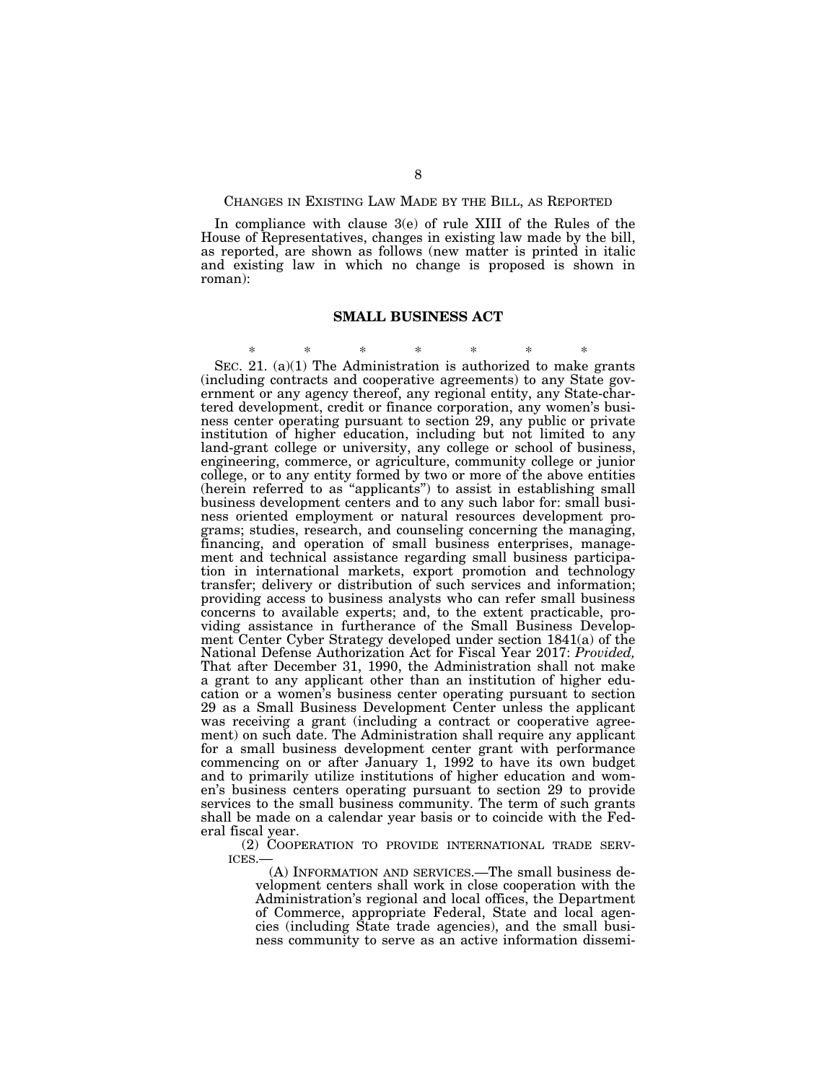## CHANGES IN EXISTING LAW MADE BY THE BILL, AS REPORTED

In compliance with clause 3(e) of rule XIII of the Rules of the House of Representatives, changes in existing law made by the bill, as reported, are shown as follows (new matter is printed in italic and existing law in which no change is proposed is shown in roman):

## **SMALL BUSINESS ACT**

\* \* \* \* \* \* \* SEC. 21.  $(a)(1)$  The Administration is authorized to make grants (including contracts and cooperative agreements) to any State government or any agency thereof, any regional entity, any State-chartered development, credit or finance corporation, any women's business center operating pursuant to section 29, any public or private institution of higher education, including but not limited to any land-grant college or university, any college or school of business, engineering, commerce, or agriculture, community college or junior college, or to any entity formed by two or more of the above entities (herein referred to as ''applicants'') to assist in establishing small business development centers and to any such labor for: small business oriented employment or natural resources development programs; studies, research, and counseling concerning the managing, financing, and operation of small business enterprises, management and technical assistance regarding small business participation in international markets, export promotion and technology transfer; delivery or distribution of such services and information; providing access to business analysts who can refer small business concerns to available experts; and, to the extent practicable, providing assistance in furtherance of the Small Business Development Center Cyber Strategy developed under section 1841(a) of the National Defense Authorization Act for Fiscal Year 2017: *Provided,*  That after December 31, 1990, the Administration shall not make a grant to any applicant other than an institution of higher education or a women's business center operating pursuant to section 29 as a Small Business Development Center unless the applicant was receiving a grant (including a contract or cooperative agreement) on such date. The Administration shall require any applicant for a small business development center grant with performance commencing on or after January 1, 1992 to have its own budget and to primarily utilize institutions of higher education and women's business centers operating pursuant to section 29 to provide services to the small business community. The term of such grants shall be made on a calendar year basis or to coincide with the Federal fiscal year.

(2) COOPERATION TO PROVIDE INTERNATIONAL TRADE SERV-ICES.—

(A) INFORMATION AND SERVICES.—The small business development centers shall work in close cooperation with the Administration's regional and local offices, the Department of Commerce, appropriate Federal, State and local agencies (including State trade agencies), and the small business community to serve as an active information dissemi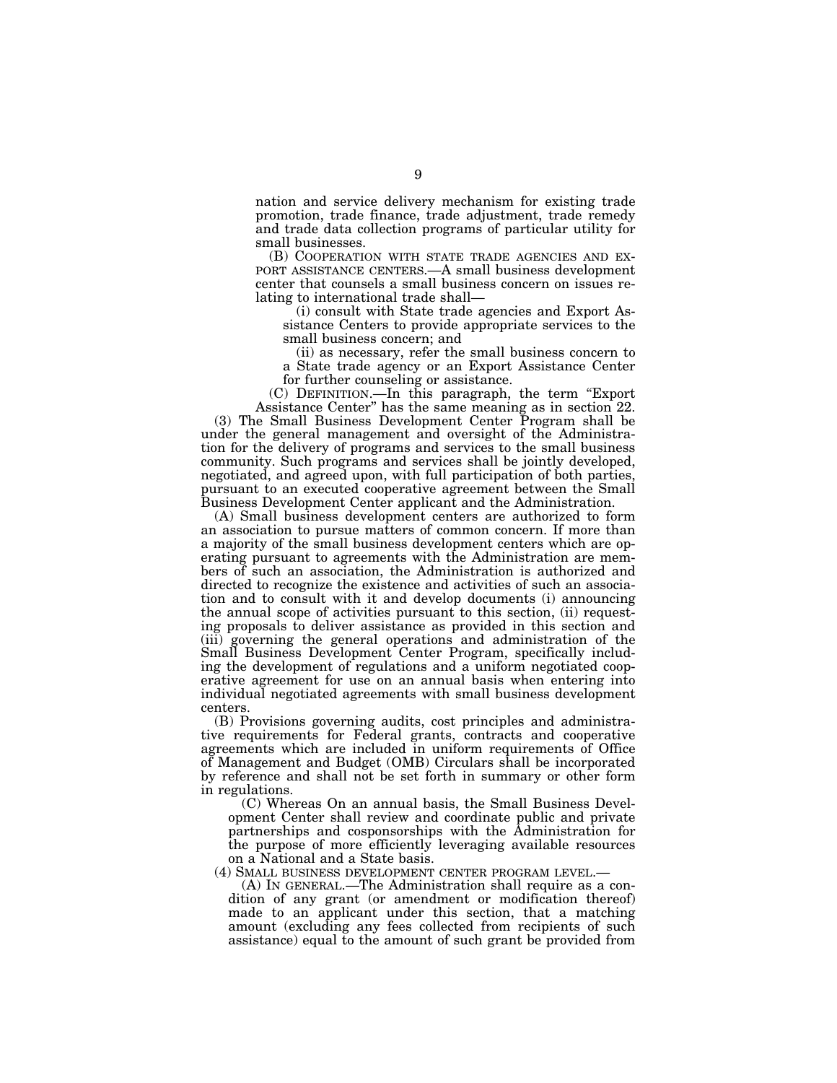nation and service delivery mechanism for existing trade promotion, trade finance, trade adjustment, trade remedy and trade data collection programs of particular utility for small businesses.<br>
(B) COOPERATION WITH STATE TRADE AGENCIES AND EX-

PORT ASSISTANCE CENTERS.—A small business development center that counsels a small business concern on issues relating to international trade shall—

(i) consult with State trade agencies and Export Assistance Centers to provide appropriate services to the small business concern; and

(ii) as necessary, refer the small business concern to a State trade agency or an Export Assistance Center for further counseling or assistance.

(C) DEFINITION.—In this paragraph, the term ''Export Assistance Center'' has the same meaning as in section 22.

(3) The Small Business Development Center Program shall be under the general management and oversight of the Administration for the delivery of programs and services to the small business community. Such programs and services shall be jointly developed, negotiated, and agreed upon, with full participation of both parties, pursuant to an executed cooperative agreement between the Small Business Development Center applicant and the Administration.

(A) Small business development centers are authorized to form an association to pursue matters of common concern. If more than a majority of the small business development centers which are operating pursuant to agreements with the Administration are members of such an association, the Administration is authorized and directed to recognize the existence and activities of such an association and to consult with it and develop documents (i) announcing the annual scope of activities pursuant to this section, (ii) requesting proposals to deliver assistance as provided in this section and (iii) governing the general operations and administration of the Small Business Development Center Program, specifically including the development of regulations and a uniform negotiated cooperative agreement for use on an annual basis when entering into individual negotiated agreements with small business development centers.

(B) Provisions governing audits, cost principles and administrative requirements for Federal grants, contracts and cooperative agreements which are included in uniform requirements of Office of Management and Budget (OMB) Circulars shall be incorporated by reference and shall not be set forth in summary or other form in regulations.

(C) Whereas On an annual basis, the Small Business Development Center shall review and coordinate public and private partnerships and cosponsorships with the Administration for the purpose of more efficiently leveraging available resources on a National and a State basis.

(4) SMALL BUSINESS DEVELOPMENT CENTER PROGRAM LEVEL.— (A) IN GENERAL.—The Administration shall require as a condition of any grant (or amendment or modification thereof) made to an applicant under this section, that a matching amount (excluding any fees collected from recipients of such assistance) equal to the amount of such grant be provided from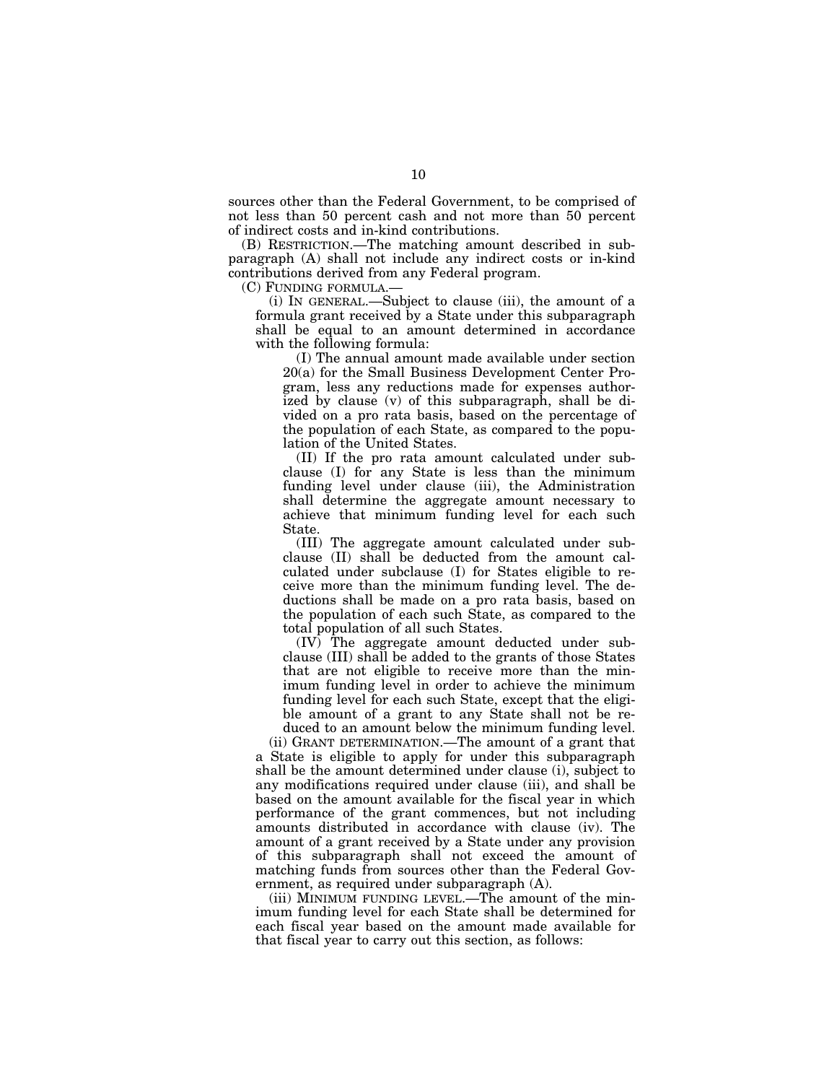sources other than the Federal Government, to be comprised of not less than 50 percent cash and not more than 50 percent of indirect costs and in-kind contributions.

(B) RESTRICTION.—The matching amount described in subparagraph (A) shall not include any indirect costs or in-kind contributions derived from any Federal program.

(C) FUNDING FORMULA.—

(i) IN GENERAL.—Subject to clause (iii), the amount of a formula grant received by a State under this subparagraph shall be equal to an amount determined in accordance with the following formula:

(I) The annual amount made available under section 20(a) for the Small Business Development Center Program, less any reductions made for expenses authorized by clause (v) of this subparagraph, shall be divided on a pro rata basis, based on the percentage of the population of each State, as compared to the population of the United States.

(II) If the pro rata amount calculated under subclause (I) for any State is less than the minimum funding level under clause (iii), the Administration shall determine the aggregate amount necessary to achieve that minimum funding level for each such State.

(III) The aggregate amount calculated under subclause (II) shall be deducted from the amount calculated under subclause (I) for States eligible to receive more than the minimum funding level. The deductions shall be made on a pro rata basis, based on the population of each such State, as compared to the total population of all such States.

(IV) The aggregate amount deducted under subclause (III) shall be added to the grants of those States that are not eligible to receive more than the minimum funding level in order to achieve the minimum funding level for each such State, except that the eligible amount of a grant to any State shall not be re-

duced to an amount below the minimum funding level. (ii) GRANT DETERMINATION.—The amount of a grant that a State is eligible to apply for under this subparagraph shall be the amount determined under clause (i), subject to any modifications required under clause (iii), and shall be based on the amount available for the fiscal year in which performance of the grant commences, but not including amounts distributed in accordance with clause (iv). The amount of a grant received by a State under any provision of this subparagraph shall not exceed the amount of matching funds from sources other than the Federal Government, as required under subparagraph (A).

(iii) MINIMUM FUNDING LEVEL.—The amount of the minimum funding level for each State shall be determined for each fiscal year based on the amount made available for that fiscal year to carry out this section, as follows: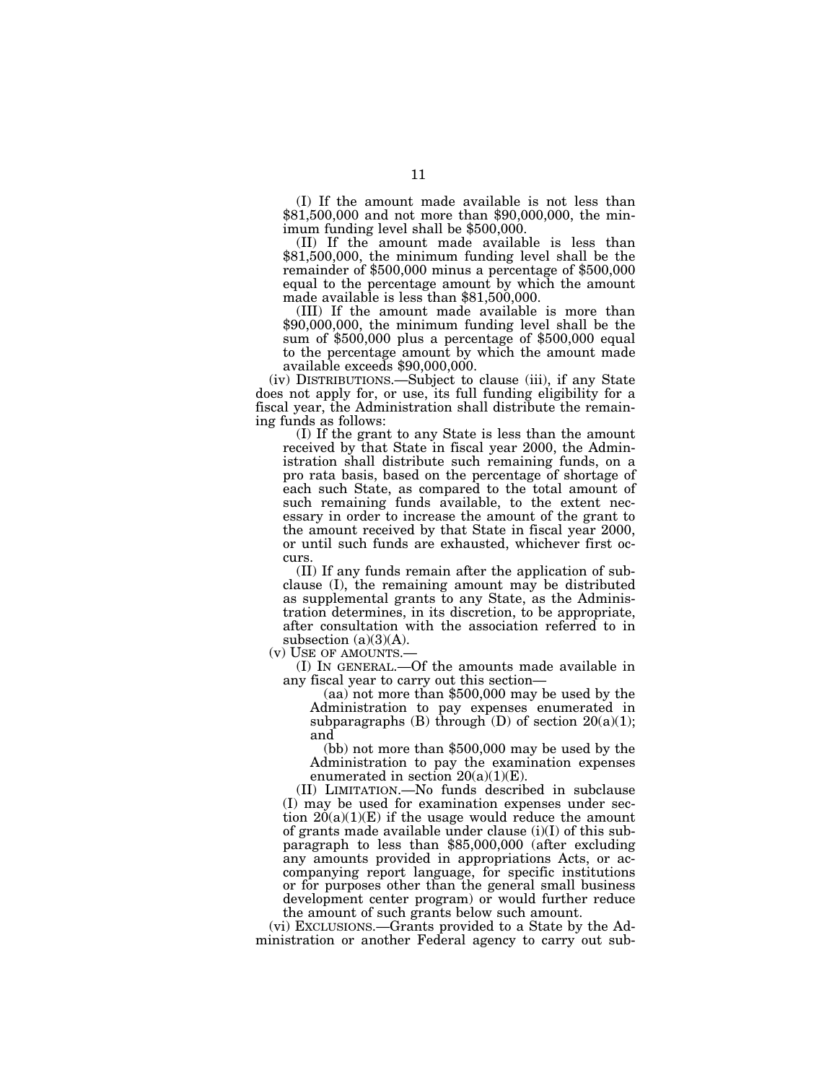(I) If the amount made available is not less than \$81,500,000 and not more than \$90,000,000, the minimum funding level shall be \$500,000.

(II) If the amount made available is less than \$81,500,000, the minimum funding level shall be the remainder of \$500,000 minus a percentage of \$500,000 equal to the percentage amount by which the amount made available is less than \$81,500,000.

(III) If the amount made available is more than \$90,000,000, the minimum funding level shall be the sum of \$500,000 plus a percentage of \$500,000 equal to the percentage amount by which the amount made available exceeds \$90,000,000.

(iv) DISTRIBUTIONS.—Subject to clause (iii), if any State does not apply for, or use, its full funding eligibility for a fiscal year, the Administration shall distribute the remaining funds as follows:

(I) If the grant to any State is less than the amount received by that State in fiscal year 2000, the Administration shall distribute such remaining funds, on a pro rata basis, based on the percentage of shortage of each such State, as compared to the total amount of such remaining funds available, to the extent necessary in order to increase the amount of the grant to the amount received by that State in fiscal year 2000, or until such funds are exhausted, whichever first occurs.

(II) If any funds remain after the application of subclause (I), the remaining amount may be distributed as supplemental grants to any State, as the Administration determines, in its discretion, to be appropriate, after consultation with the association referred to in subsection  $(a)(3)(A)$ .

(v) USE OF AMOUNTS.—

(I) IN GENERAL.—Of the amounts made available in

 $\alpha$  (aa) not more than \$500,000 may be used by the Administration to pay expenses enumerated in subparagraphs (B) through (D) of section  $20(a)(1)$ ; and

(bb) not more than \$500,000 may be used by the Administration to pay the examination expenses enumerated in section 20(a)(1)(E).

(II) LIMITATION.—No funds described in subclause (I) may be used for examination expenses under section  $20(a)(1)(E)$  if the usage would reduce the amount of grants made available under clause  $(i)(I)$  of this subparagraph to less than \$85,000,000 (after excluding any amounts provided in appropriations Acts, or accompanying report language, for specific institutions or for purposes other than the general small business development center program) or would further reduce the amount of such grants below such amount.

(vi) EXCLUSIONS.—Grants provided to a State by the Administration or another Federal agency to carry out sub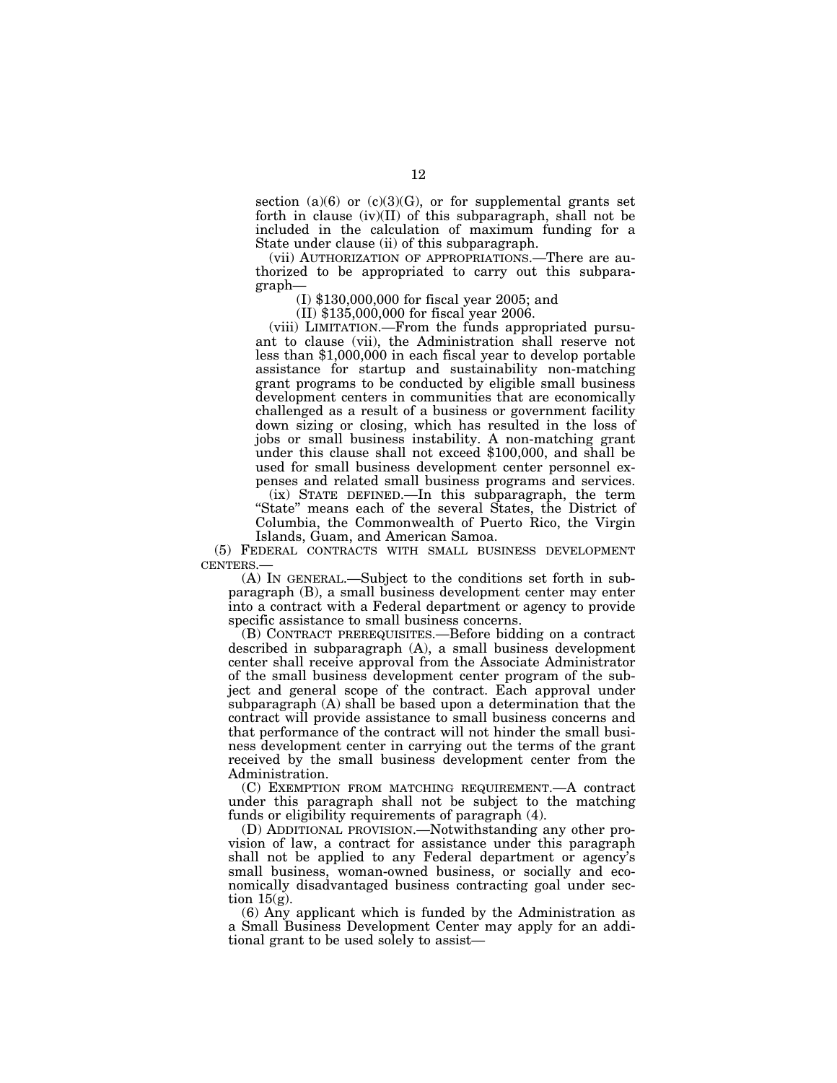section (a)(6) or (c)(3)(G), or for supplemental grants set forth in clause (iv)(II) of this subparagraph, shall not be included in the calculation of maximum funding for a State under clause (ii) of this subparagraph.

(vii) AUTHORIZATION OF APPROPRIATIONS.—There are authorized to be appropriated to carry out this subparagraph—

(I) \$130,000,000 for fiscal year 2005; and

(II) \$135,000,000 for fiscal year 2006.

(viii) LIMITATION.—From the funds appropriated pursuant to clause (vii), the Administration shall reserve not less than \$1,000,000 in each fiscal year to develop portable assistance for startup and sustainability non-matching grant programs to be conducted by eligible small business development centers in communities that are economically challenged as a result of a business or government facility down sizing or closing, which has resulted in the loss of jobs or small business instability. A non-matching grant under this clause shall not exceed \$100,000, and shall be used for small business development center personnel expenses and related small business programs and services. (ix) STATE DEFINED.—In this subparagraph, the term ''State'' means each of the several States, the District of Columbia, the Commonwealth of Puerto Rico, the Virgin Islands, Guam, and American Samoa.

(5) FEDERAL CONTRACTS WITH SMALL BUSINESS DEVELOPMENT CENTERS.—

(A) IN GENERAL.—Subject to the conditions set forth in subparagraph (B), a small business development center may enter into a contract with a Federal department or agency to provide specific assistance to small business concerns.

(B) CONTRACT PREREQUISITES.—Before bidding on a contract described in subparagraph (A), a small business development center shall receive approval from the Associate Administrator of the small business development center program of the subject and general scope of the contract. Each approval under subparagraph (A) shall be based upon a determination that the contract will provide assistance to small business concerns and that performance of the contract will not hinder the small business development center in carrying out the terms of the grant received by the small business development center from the Administration.

(C) EXEMPTION FROM MATCHING REQUIREMENT.—A contract under this paragraph shall not be subject to the matching funds or eligibility requirements of paragraph (4).

(D) ADDITIONAL PROVISION.—Notwithstanding any other provision of law, a contract for assistance under this paragraph shall not be applied to any Federal department or agency's small business, woman-owned business, or socially and economically disadvantaged business contracting goal under section  $15<sub>(g)</sub>$ .

(6) Any applicant which is funded by the Administration as a Small Business Development Center may apply for an additional grant to be used solely to assist—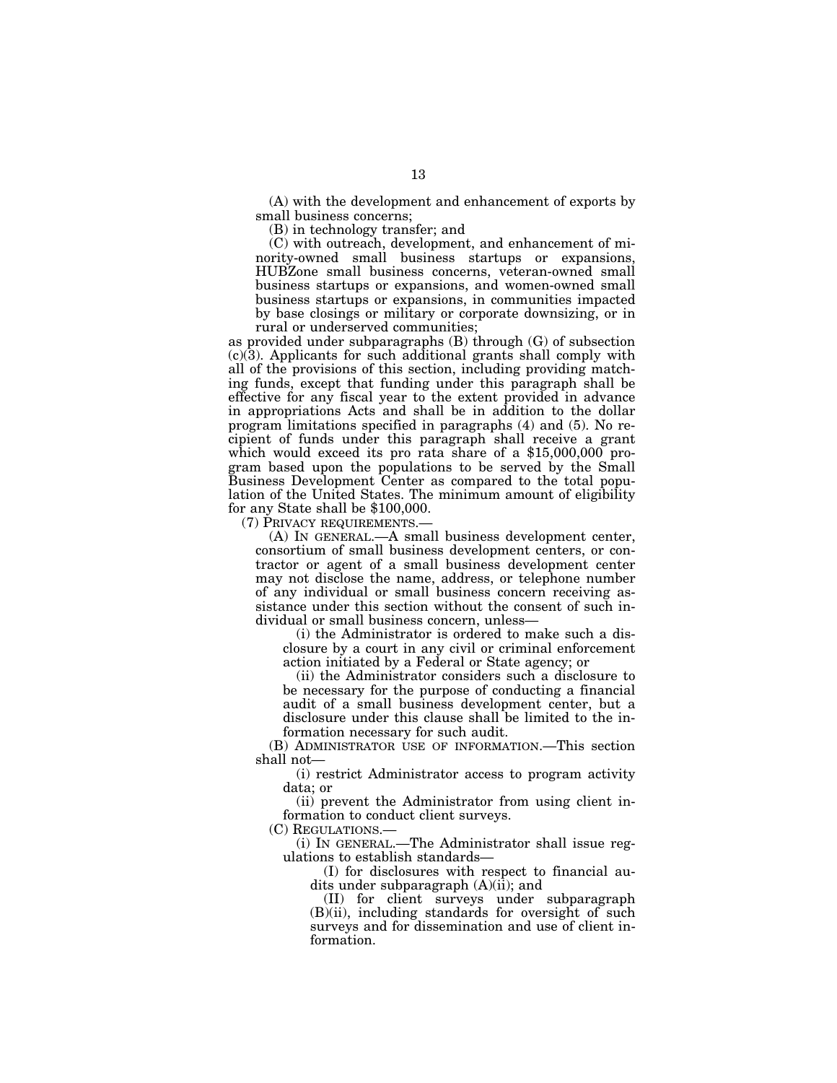(A) with the development and enhancement of exports by small business concerns;

(B) in technology transfer; and

(C) with outreach, development, and enhancement of minority-owned small business startups or expansions, HUBZone small business concerns, veteran-owned small business startups or expansions, and women-owned small business startups or expansions, in communities impacted by base closings or military or corporate downsizing, or in rural or underserved communities;

as provided under subparagraphs (B) through (G) of subsection  $(c)(3)$ . Applicants for such additional grants shall comply with all of the provisions of this section, including providing matching funds, except that funding under this paragraph shall be effective for any fiscal year to the extent provided in advance in appropriations Acts and shall be in addition to the dollar program limitations specified in paragraphs (4) and (5). No recipient of funds under this paragraph shall receive a grant which would exceed its pro rata share of a \$15,000,000 program based upon the populations to be served by the Small Business Development Center as compared to the total population of the United States. The minimum amount of eligibility for any State shall be \$100,000.

(7) PRIVACY REQUIREMENTS.—

(A) IN GENERAL.—A small business development center, consortium of small business development centers, or contractor or agent of a small business development center may not disclose the name, address, or telephone number of any individual or small business concern receiving assistance under this section without the consent of such individual or small business concern, unless—

(i) the Administrator is ordered to make such a disclosure by a court in any civil or criminal enforcement action initiated by a Federal or State agency; or

(ii) the Administrator considers such a disclosure to be necessary for the purpose of conducting a financial audit of a small business development center, but a disclosure under this clause shall be limited to the information necessary for such audit.

(B) ADMINISTRATOR USE OF INFORMATION.—This section shall not—

(i) restrict Administrator access to program activity data; or

(ii) prevent the Administrator from using client information to conduct client surveys.

(C) REGULATIONS.—

(i) IN GENERAL.—The Administrator shall issue regulations to establish standards—

(I) for disclosures with respect to financial audits under subparagraph  $(A)(ii)$ ; and

(II) for client surveys under subparagraph (B)(ii), including standards for oversight of such surveys and for dissemination and use of client information.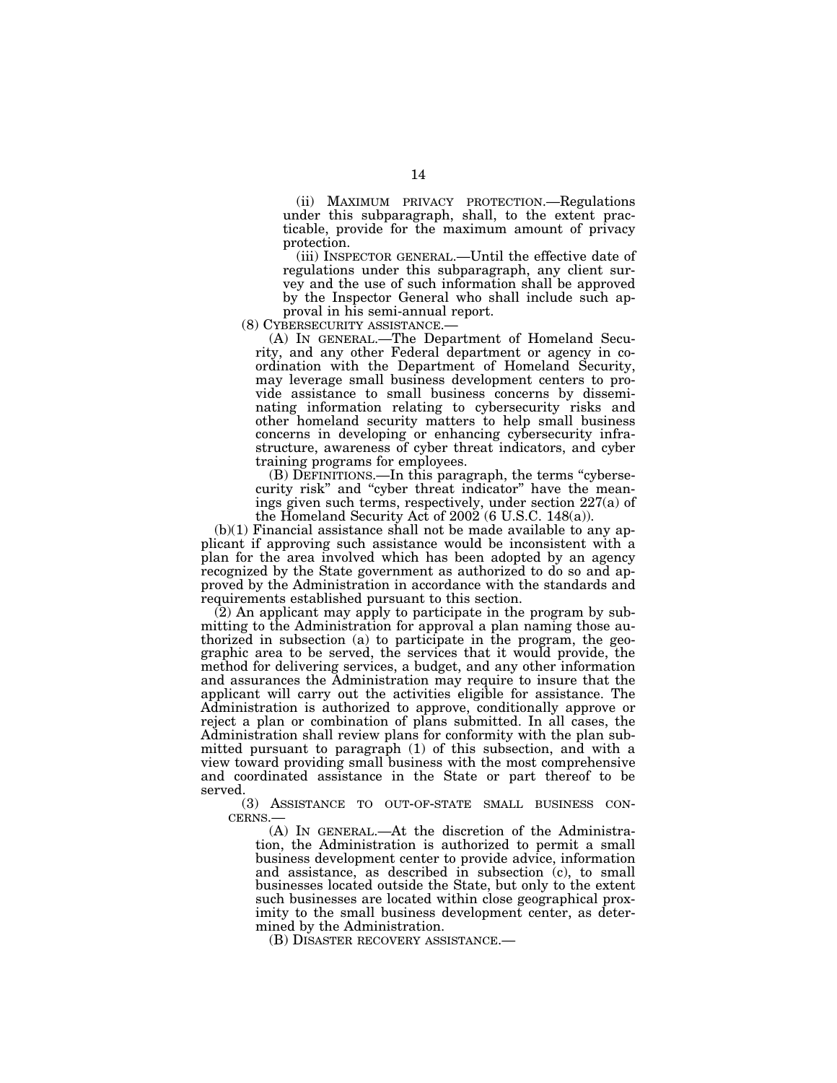(ii) MAXIMUM PRIVACY PROTECTION.—Regulations under this subparagraph, shall, to the extent practicable, provide for the maximum amount of privacy protection.

(iii) INSPECTOR GENERAL.—Until the effective date of regulations under this subparagraph, any client survey and the use of such information shall be approved by the Inspector General who shall include such ap-

proval in his semi-annual report.<br>(8) CYBERSECURITY ASSISTANCE.—

(A) IN GENERAL.—The Department of Homeland Security, and any other Federal department or agency in coordination with the Department of Homeland Security, may leverage small business development centers to provide assistance to small business concerns by disseminating information relating to cybersecurity risks and other homeland security matters to help small business concerns in developing or enhancing cybersecurity infrastructure, awareness of cyber threat indicators, and cyber training programs for employees.

(B) DEFINITIONS.—In this paragraph, the terms ''cybersecurity risk'' and ''cyber threat indicator'' have the meanings given such terms, respectively, under section 227(a) of the Homeland Security Act of 2002 (6 U.S.C. 148(a)).

 $(b)(1)$  Financial assistance shall not be made available to any applicant if approving such assistance would be inconsistent with a plan for the area involved which has been adopted by an agency recognized by the State government as authorized to do so and approved by the Administration in accordance with the standards and requirements established pursuant to this section.

(2) An applicant may apply to participate in the program by submitting to the Administration for approval a plan naming those authorized in subsection (a) to participate in the program, the geographic area to be served, the services that it would provide, the method for delivering services, a budget, and any other information and assurances the Administration may require to insure that the applicant will carry out the activities eligible for assistance. The Administration is authorized to approve, conditionally approve or reject a plan or combination of plans submitted. In all cases, the Administration shall review plans for conformity with the plan submitted pursuant to paragraph (1) of this subsection, and with a view toward providing small business with the most comprehensive and coordinated assistance in the State or part thereof to be served.

(3) ASSISTANCE TO OUT-OF-STATE SMALL BUSINESS CON-CERNS.—

(A) IN GENERAL.—At the discretion of the Administration, the Administration is authorized to permit a small business development center to provide advice, information and assistance, as described in subsection (c), to small businesses located outside the State, but only to the extent such businesses are located within close geographical proximity to the small business development center, as determined by the Administration.

(B) DISASTER RECOVERY ASSISTANCE.—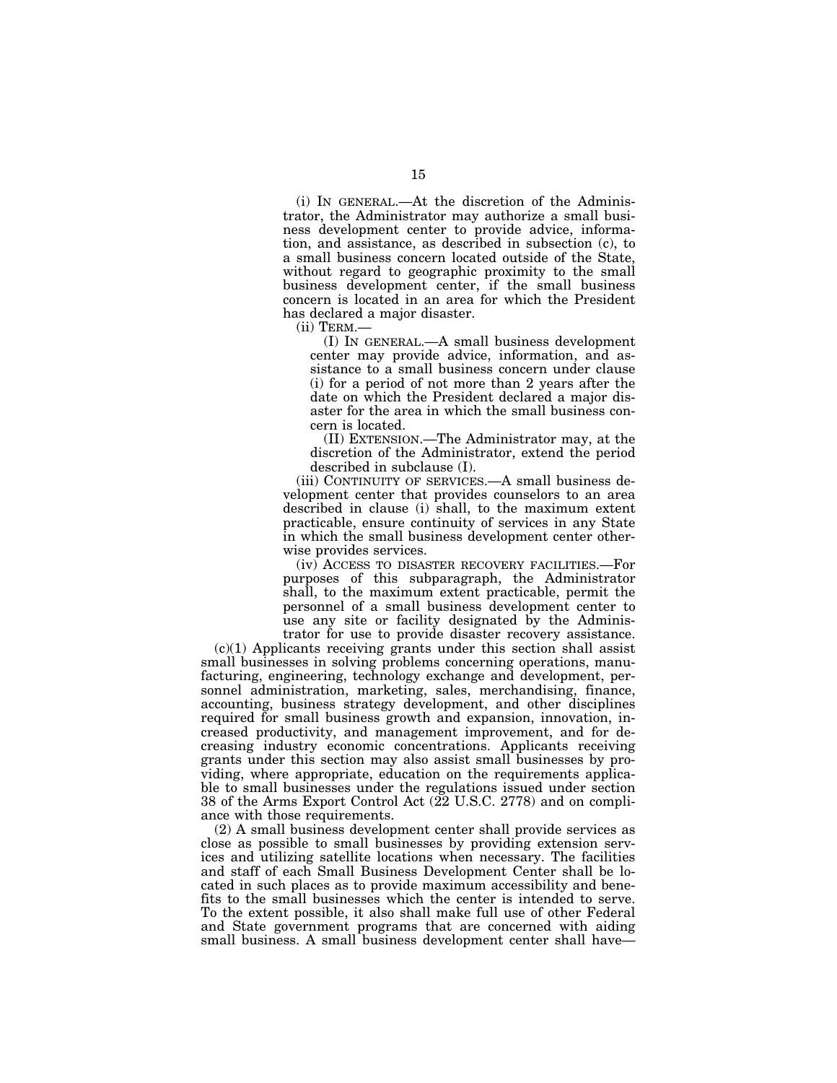(i) IN GENERAL.—At the discretion of the Administrator, the Administrator may authorize a small business development center to provide advice, information, and assistance, as described in subsection (c), to a small business concern located outside of the State, without regard to geographic proximity to the small business development center, if the small business concern is located in an area for which the President has declared a major disaster.

(ii) TERM.—

(I) IN GENERAL.—A small business development center may provide advice, information, and assistance to a small business concern under clause (i) for a period of not more than 2 years after the date on which the President declared a major disaster for the area in which the small business concern is located.

(II) EXTENSION.—The Administrator may, at the discretion of the Administrator, extend the period described in subclause (I).

(iii) CONTINUITY OF SERVICES.—A small business development center that provides counselors to an area described in clause (i) shall, to the maximum extent practicable, ensure continuity of services in any State in which the small business development center otherwise provides services.

(iv) ACCESS TO DISASTER RECOVERY FACILITIES.—For purposes of this subparagraph, the Administrator shall, to the maximum extent practicable, permit the personnel of a small business development center to use any site or facility designated by the Administrator for use to provide disaster recovery assistance.

 $(c)(1)$  Applicants receiving grants under this section shall assist small businesses in solving problems concerning operations, manufacturing, engineering, technology exchange and development, personnel administration, marketing, sales, merchandising, finance, accounting, business strategy development, and other disciplines required for small business growth and expansion, innovation, increased productivity, and management improvement, and for decreasing industry economic concentrations. Applicants receiving grants under this section may also assist small businesses by providing, where appropriate, education on the requirements applicable to small businesses under the regulations issued under section 38 of the Arms Export Control Act (22 U.S.C. 2778) and on compliance with those requirements.

(2) A small business development center shall provide services as close as possible to small businesses by providing extension services and utilizing satellite locations when necessary. The facilities and staff of each Small Business Development Center shall be located in such places as to provide maximum accessibility and benefits to the small businesses which the center is intended to serve. To the extent possible, it also shall make full use of other Federal and State government programs that are concerned with aiding small business. A small business development center shall have—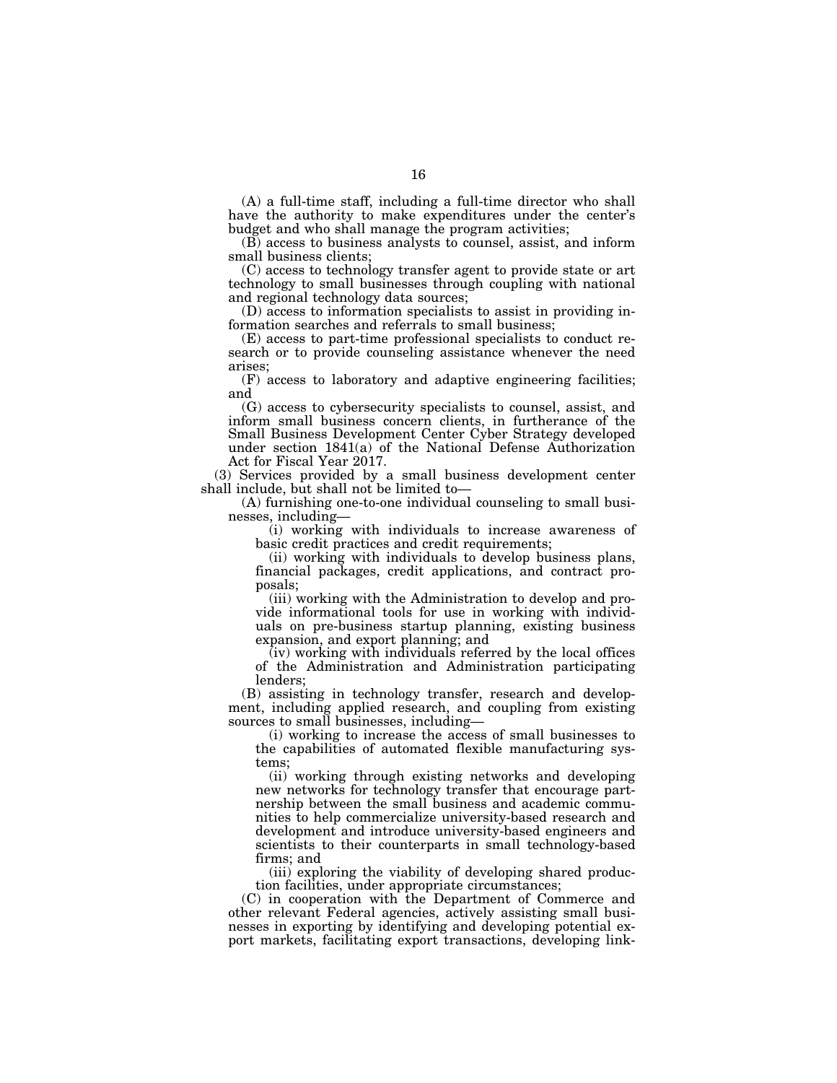(A) a full-time staff, including a full-time director who shall have the authority to make expenditures under the center's budget and who shall manage the program activities;

(B) access to business analysts to counsel, assist, and inform small business clients;

(C) access to technology transfer agent to provide state or art technology to small businesses through coupling with national and regional technology data sources;

(D) access to information specialists to assist in providing information searches and referrals to small business;

(E) access to part-time professional specialists to conduct research or to provide counseling assistance whenever the need arises;

(F) access to laboratory and adaptive engineering facilities; and

(G) access to cybersecurity specialists to counsel, assist, and inform small business concern clients, in furtherance of the Small Business Development Center Cyber Strategy developed under section 1841(a) of the National Defense Authorization Act for Fiscal Year 2017.

(3) Services provided by a small business development center shall include, but shall not be limited to—

(A) furnishing one-to-one individual counseling to small businesses, including—

(i) working with individuals to increase awareness of basic credit practices and credit requirements;

(ii) working with individuals to develop business plans, financial packages, credit applications, and contract proposals;

(iii) working with the Administration to develop and provide informational tools for use in working with individuals on pre-business startup planning, existing business expansion, and export planning; and

 $(iv)$  working with individuals referred by the local offices of the Administration and Administration participating lenders;

(B) assisting in technology transfer, research and development, including applied research, and coupling from existing sources to small businesses, including—

(i) working to increase the access of small businesses to the capabilities of automated flexible manufacturing systems;

(ii) working through existing networks and developing new networks for technology transfer that encourage partnership between the small business and academic communities to help commercialize university-based research and development and introduce university-based engineers and scientists to their counterparts in small technology-based firms; and

(iii) exploring the viability of developing shared production facilities, under appropriate circumstances;

(C) in cooperation with the Department of Commerce and other relevant Federal agencies, actively assisting small businesses in exporting by identifying and developing potential export markets, facilitating export transactions, developing link-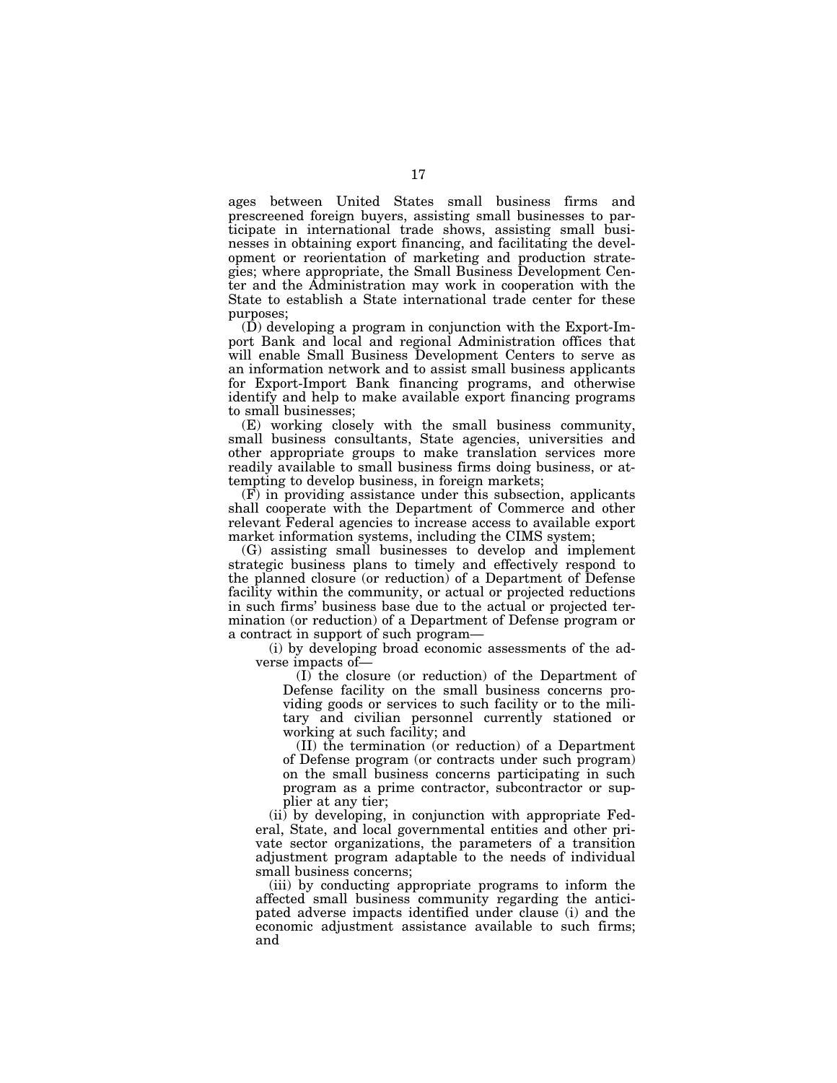ages between United States small business firms and prescreened foreign buyers, assisting small businesses to participate in international trade shows, assisting small businesses in obtaining export financing, and facilitating the development or reorientation of marketing and production strategies; where appropriate, the Small Business Development Center and the Administration may work in cooperation with the State to establish a State international trade center for these purposes;

(D) developing a program in conjunction with the Export-Import Bank and local and regional Administration offices that will enable Small Business Development Centers to serve as an information network and to assist small business applicants for Export-Import Bank financing programs, and otherwise identify and help to make available export financing programs to small businesses;

(E) working closely with the small business community, small business consultants, State agencies, universities and other appropriate groups to make translation services more readily available to small business firms doing business, or attempting to develop business, in foreign markets;

 $(F)$  in providing assistance under this subsection, applicants shall cooperate with the Department of Commerce and other relevant Federal agencies to increase access to available export market information systems, including the CIMS system;

(G) assisting small businesses to develop and implement strategic business plans to timely and effectively respond to the planned closure (or reduction) of a Department of Defense facility within the community, or actual or projected reductions in such firms' business base due to the actual or projected termination (or reduction) of a Department of Defense program or a contract in support of such program—

(i) by developing broad economic assessments of the adverse impacts of—

(I) the closure (or reduction) of the Department of Defense facility on the small business concerns providing goods or services to such facility or to the military and civilian personnel currently stationed or working at such facility; and

(II) the termination (or reduction) of a Department of Defense program (or contracts under such program) on the small business concerns participating in such program as a prime contractor, subcontractor or supplier at any tier;

(ii) by developing, in conjunction with appropriate Federal, State, and local governmental entities and other private sector organizations, the parameters of a transition adjustment program adaptable to the needs of individual small business concerns;

(iii) by conducting appropriate programs to inform the affected small business community regarding the anticipated adverse impacts identified under clause (i) and the economic adjustment assistance available to such firms; and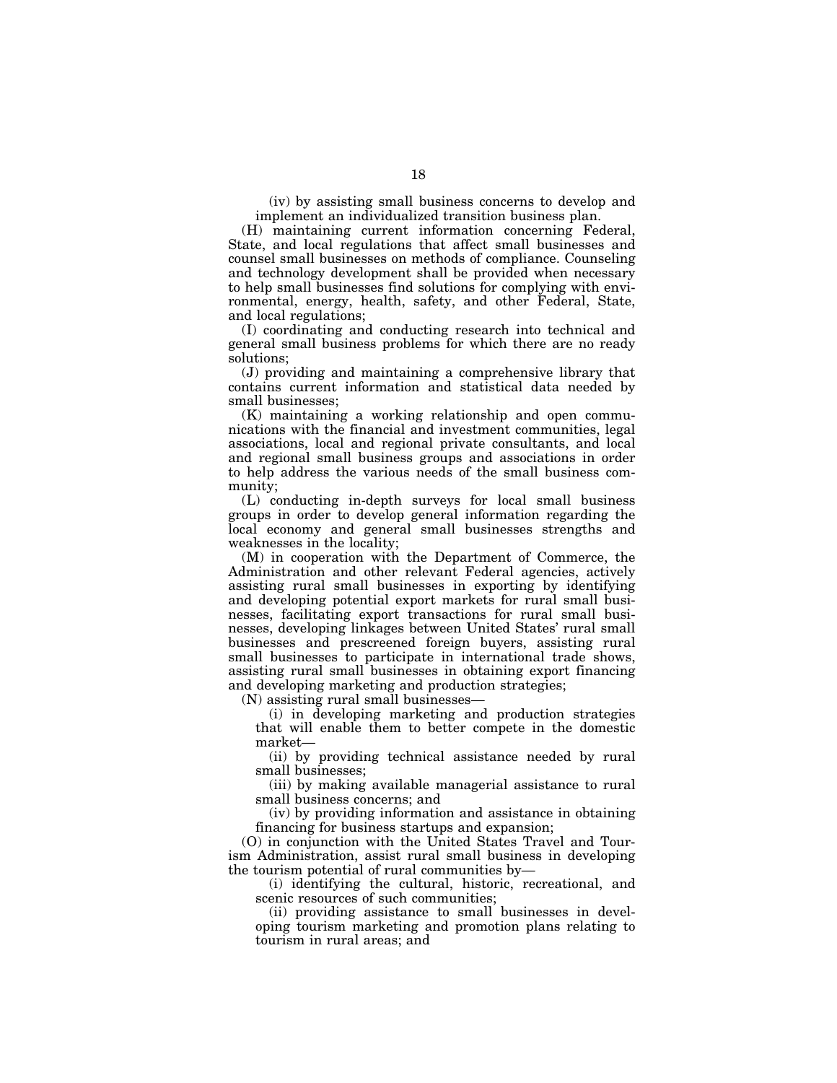(iv) by assisting small business concerns to develop and implement an individualized transition business plan.

(H) maintaining current information concerning Federal, State, and local regulations that affect small businesses and counsel small businesses on methods of compliance. Counseling and technology development shall be provided when necessary to help small businesses find solutions for complying with environmental, energy, health, safety, and other Federal, State, and local regulations;

(I) coordinating and conducting research into technical and general small business problems for which there are no ready solutions;

(J) providing and maintaining a comprehensive library that contains current information and statistical data needed by small businesses;

(K) maintaining a working relationship and open communications with the financial and investment communities, legal associations, local and regional private consultants, and local and regional small business groups and associations in order to help address the various needs of the small business community;

(L) conducting in-depth surveys for local small business groups in order to develop general information regarding the local economy and general small businesses strengths and weaknesses in the locality;

(M) in cooperation with the Department of Commerce, the Administration and other relevant Federal agencies, actively assisting rural small businesses in exporting by identifying and developing potential export markets for rural small businesses, facilitating export transactions for rural small businesses, developing linkages between United States' rural small businesses and prescreened foreign buyers, assisting rural small businesses to participate in international trade shows, assisting rural small businesses in obtaining export financing and developing marketing and production strategies;

(N) assisting rural small businesses—

(i) in developing marketing and production strategies that will enable them to better compete in the domestic market—

(ii) by providing technical assistance needed by rural small businesses;

(iii) by making available managerial assistance to rural small business concerns; and

(iv) by providing information and assistance in obtaining financing for business startups and expansion;

(O) in conjunction with the United States Travel and Tourism Administration, assist rural small business in developing the tourism potential of rural communities by—

(i) identifying the cultural, historic, recreational, and scenic resources of such communities;

(ii) providing assistance to small businesses in developing tourism marketing and promotion plans relating to tourism in rural areas; and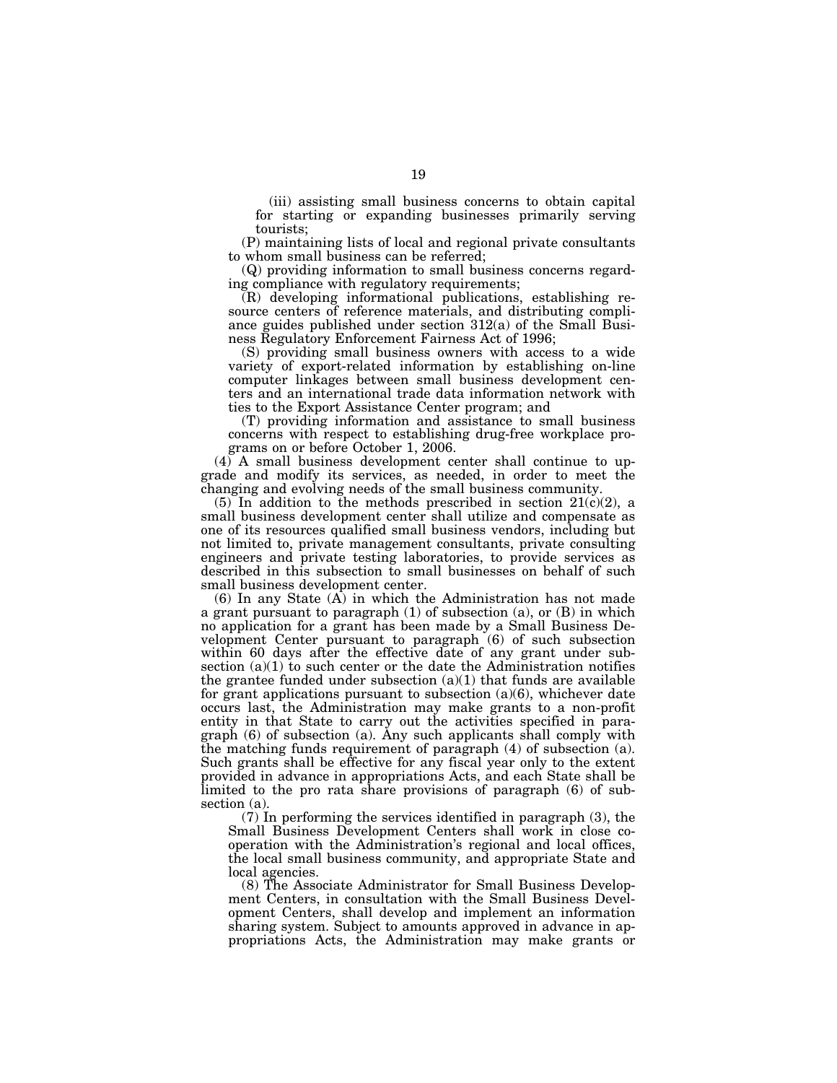(iii) assisting small business concerns to obtain capital for starting or expanding businesses primarily serving tourists;

(P) maintaining lists of local and regional private consultants to whom small business can be referred;

(Q) providing information to small business concerns regarding compliance with regulatory requirements;

(R) developing informational publications, establishing resource centers of reference materials, and distributing compliance guides published under section 312(a) of the Small Business Regulatory Enforcement Fairness Act of 1996;

(S) providing small business owners with access to a wide variety of export-related information by establishing on-line computer linkages between small business development centers and an international trade data information network with ties to the Export Assistance Center program; and

(T) providing information and assistance to small business concerns with respect to establishing drug-free workplace programs on or before October 1, 2006.

(4) A small business development center shall continue to upgrade and modify its services, as needed, in order to meet the changing and evolving needs of the small business community.

 $(5)$  In addition to the methods prescribed in section 21 $(c)(2)$ , a small business development center shall utilize and compensate as one of its resources qualified small business vendors, including but not limited to, private management consultants, private consulting engineers and private testing laboratories, to provide services as described in this subsection to small businesses on behalf of such small business development center.

(6) In any State (A) in which the Administration has not made a grant pursuant to paragraph (1) of subsection (a), or (B) in which no application for a grant has been made by a Small Business Development Center pursuant to paragraph (6) of such subsection within 60 days after the effective date of any grant under subsection  $(a)(1)$  to such center or the date the Administration notifies the grantee funded under subsection  $(a)(1)$  that funds are available for grant applications pursuant to subsection  $(a)(6)$ , whichever date occurs last, the Administration may make grants to a non-profit entity in that State to carry out the activities specified in paragraph (6) of subsection (a). Any such applicants shall comply with the matching funds requirement of paragraph (4) of subsection (a). Such grants shall be effective for any fiscal year only to the extent provided in advance in appropriations Acts, and each State shall be limited to the pro rata share provisions of paragraph (6) of subsection (a).

(7) In performing the services identified in paragraph (3), the Small Business Development Centers shall work in close cooperation with the Administration's regional and local offices, the local small business community, and appropriate State and local agencies.

(8) The Associate Administrator for Small Business Development Centers, in consultation with the Small Business Development Centers, shall develop and implement an information sharing system. Subject to amounts approved in advance in appropriations Acts, the Administration may make grants or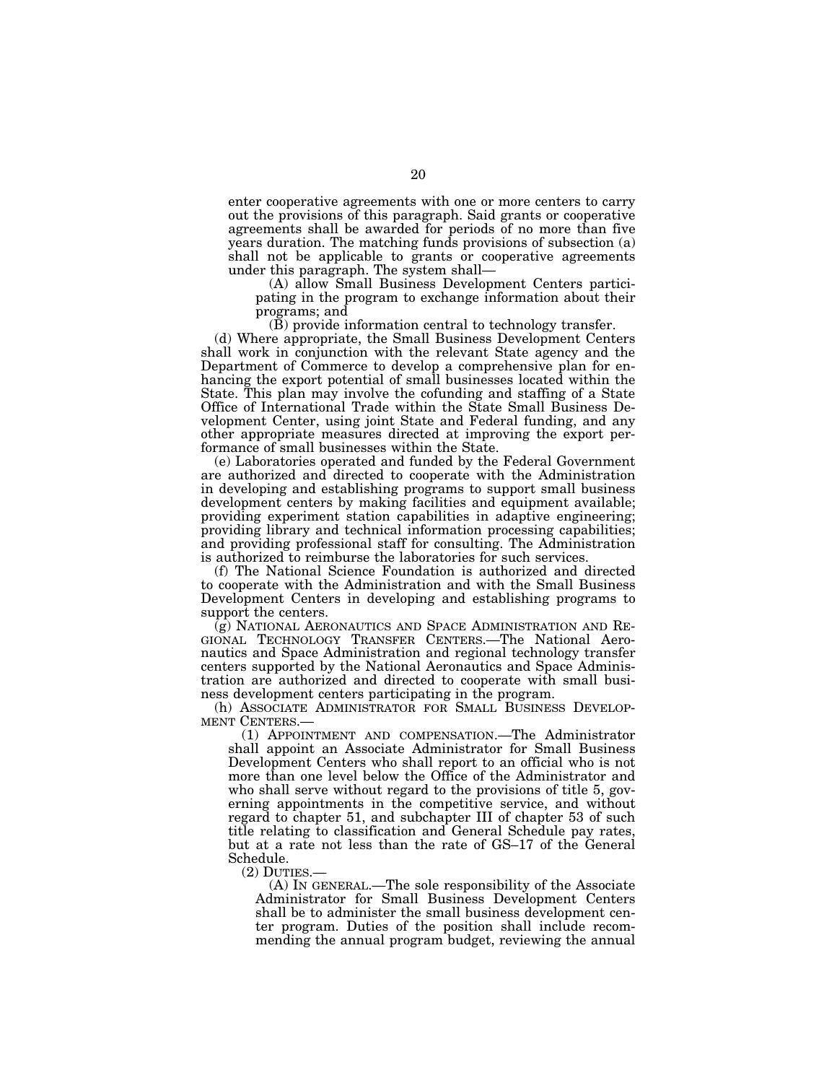enter cooperative agreements with one or more centers to carry out the provisions of this paragraph. Said grants or cooperative agreements shall be awarded for periods of no more than five years duration. The matching funds provisions of subsection (a) shall not be applicable to grants or cooperative agreements under this paragraph. The system shall—

(A) allow Small Business Development Centers participating in the program to exchange information about their programs; and

 $(\bar{B})$  provide information central to technology transfer.

(d) Where appropriate, the Small Business Development Centers shall work in conjunction with the relevant State agency and the Department of Commerce to develop a comprehensive plan for enhancing the export potential of small businesses located within the State. This plan may involve the cofunding and staffing of a State Office of International Trade within the State Small Business Development Center, using joint State and Federal funding, and any other appropriate measures directed at improving the export performance of small businesses within the State.

(e) Laboratories operated and funded by the Federal Government are authorized and directed to cooperate with the Administration in developing and establishing programs to support small business development centers by making facilities and equipment available; providing experiment station capabilities in adaptive engineering; providing library and technical information processing capabilities; and providing professional staff for consulting. The Administration is authorized to reimburse the laboratories for such services.

(f) The National Science Foundation is authorized and directed to cooperate with the Administration and with the Small Business Development Centers in developing and establishing programs to support the centers.

(g) NATIONAL AERONAUTICS AND SPACE ADMINISTRATION AND RE-GIONAL TECHNOLOGY TRANSFER CENTERS.—The National Aeronautics and Space Administration and regional technology transfer centers supported by the National Aeronautics and Space Administration are authorized and directed to cooperate with small business development centers participating in the program.

(h) ASSOCIATE ADMINISTRATOR FOR SMALL BUSINESS DEVELOPMENT CENTERS.—

(1) APPOINTMENT AND COMPENSATION.—The Administrator shall appoint an Associate Administrator for Small Business Development Centers who shall report to an official who is not more than one level below the Office of the Administrator and who shall serve without regard to the provisions of title 5, governing appointments in the competitive service, and without regard to chapter 51, and subchapter III of chapter 53 of such title relating to classification and General Schedule pay rates, but at a rate not less than the rate of GS–17 of the General Schedule.

(2) DUTIES.— (A) IN GENERAL.—The sole responsibility of the Associate Administrator for Small Business Development Centers shall be to administer the small business development center program. Duties of the position shall include recommending the annual program budget, reviewing the annual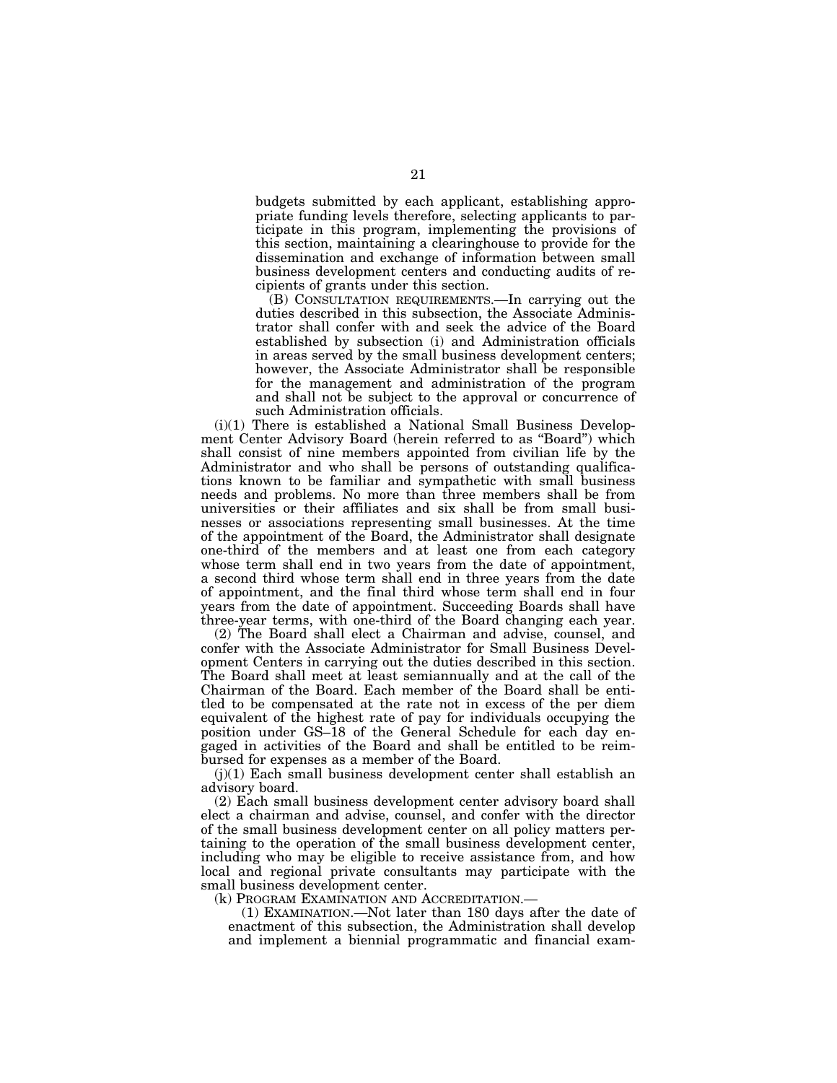budgets submitted by each applicant, establishing appropriate funding levels therefore, selecting applicants to participate in this program, implementing the provisions of this section, maintaining a clearinghouse to provide for the dissemination and exchange of information between small business development centers and conducting audits of recipients of grants under this section.

(B) CONSULTATION REQUIREMENTS.—In carrying out the duties described in this subsection, the Associate Administrator shall confer with and seek the advice of the Board established by subsection (i) and Administration officials in areas served by the small business development centers; however, the Associate Administrator shall be responsible for the management and administration of the program and shall not be subject to the approval or concurrence of such Administration officials.

(i)(1) There is established a National Small Business Development Center Advisory Board (herein referred to as ''Board'') which shall consist of nine members appointed from civilian life by the Administrator and who shall be persons of outstanding qualifications known to be familiar and sympathetic with small business needs and problems. No more than three members shall be from universities or their affiliates and six shall be from small businesses or associations representing small businesses. At the time of the appointment of the Board, the Administrator shall designate one-third of the members and at least one from each category whose term shall end in two years from the date of appointment, a second third whose term shall end in three years from the date of appointment, and the final third whose term shall end in four years from the date of appointment. Succeeding Boards shall have three-year terms, with one-third of the Board changing each year.

(2) The Board shall elect a Chairman and advise, counsel, and confer with the Associate Administrator for Small Business Development Centers in carrying out the duties described in this section. The Board shall meet at least semiannually and at the call of the Chairman of the Board. Each member of the Board shall be entitled to be compensated at the rate not in excess of the per diem equivalent of the highest rate of pay for individuals occupying the position under GS–18 of the General Schedule for each day engaged in activities of the Board and shall be entitled to be reimbursed for expenses as a member of the Board.

(j)(1) Each small business development center shall establish an advisory board.

(2) Each small business development center advisory board shall elect a chairman and advise, counsel, and confer with the director of the small business development center on all policy matters pertaining to the operation of the small business development center, including who may be eligible to receive assistance from, and how local and regional private consultants may participate with the small business development center.

(k) PROGRAM EXAMINATION AND ACCREDITATION.—

(1) EXAMINATION.—Not later than 180 days after the date of enactment of this subsection, the Administration shall develop and implement a biennial programmatic and financial exam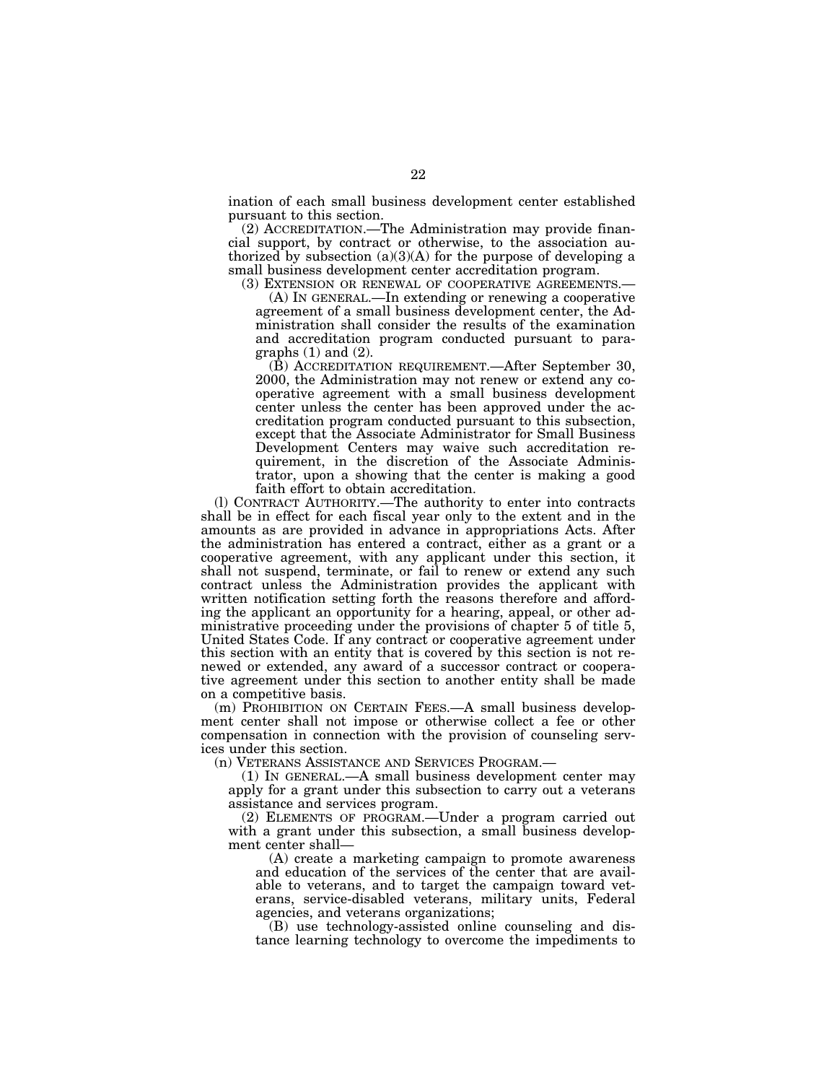ination of each small business development center established pursuant to this section.

(2) ACCREDITATION.—The Administration may provide financial support, by contract or otherwise, to the association authorized by subsection  $(a)(3)(A)$  for the purpose of developing a small business development center accreditation program.

(3) EXTENSION OR RENEWAL OF COOPERATIVE AGREEMENTS.— (A) IN GENERAL.—In extending or renewing a cooperative agreement of a small business development center, the Administration shall consider the results of the examination and accreditation program conducted pursuant to paragraphs  $(1)$  and  $(2)$ .

(B) ACCREDITATION REQUIREMENT.—After September 30, 2000, the Administration may not renew or extend any cooperative agreement with a small business development center unless the center has been approved under the accreditation program conducted pursuant to this subsection, except that the Associate Administrator for Small Business Development Centers may waive such accreditation requirement, in the discretion of the Associate Administrator, upon a showing that the center is making a good faith effort to obtain accreditation.

(l) CONTRACT AUTHORITY.—The authority to enter into contracts shall be in effect for each fiscal year only to the extent and in the amounts as are provided in advance in appropriations Acts. After the administration has entered a contract, either as a grant or a cooperative agreement, with any applicant under this section, it shall not suspend, terminate, or fail to renew or extend any such contract unless the Administration provides the applicant with written notification setting forth the reasons therefore and affording the applicant an opportunity for a hearing, appeal, or other administrative proceeding under the provisions of chapter 5 of title 5, United States Code. If any contract or cooperative agreement under this section with an entity that is covered by this section is not renewed or extended, any award of a successor contract or cooperative agreement under this section to another entity shall be made on a competitive basis.

(m) PROHIBITION ON CERTAIN FEES.—A small business development center shall not impose or otherwise collect a fee or other compensation in connection with the provision of counseling services under this section.

(n) VETERANS ASSISTANCE AND SERVICES PROGRAM.—

(1) IN GENERAL.—A small business development center may apply for a grant under this subsection to carry out a veterans assistance and services program.

(2) ELEMENTS OF PROGRAM.—Under a program carried out with a grant under this subsection, a small business development center shall—

(A) create a marketing campaign to promote awareness and education of the services of the center that are available to veterans, and to target the campaign toward veterans, service-disabled veterans, military units, Federal agencies, and veterans organizations;

(B) use technology-assisted online counseling and distance learning technology to overcome the impediments to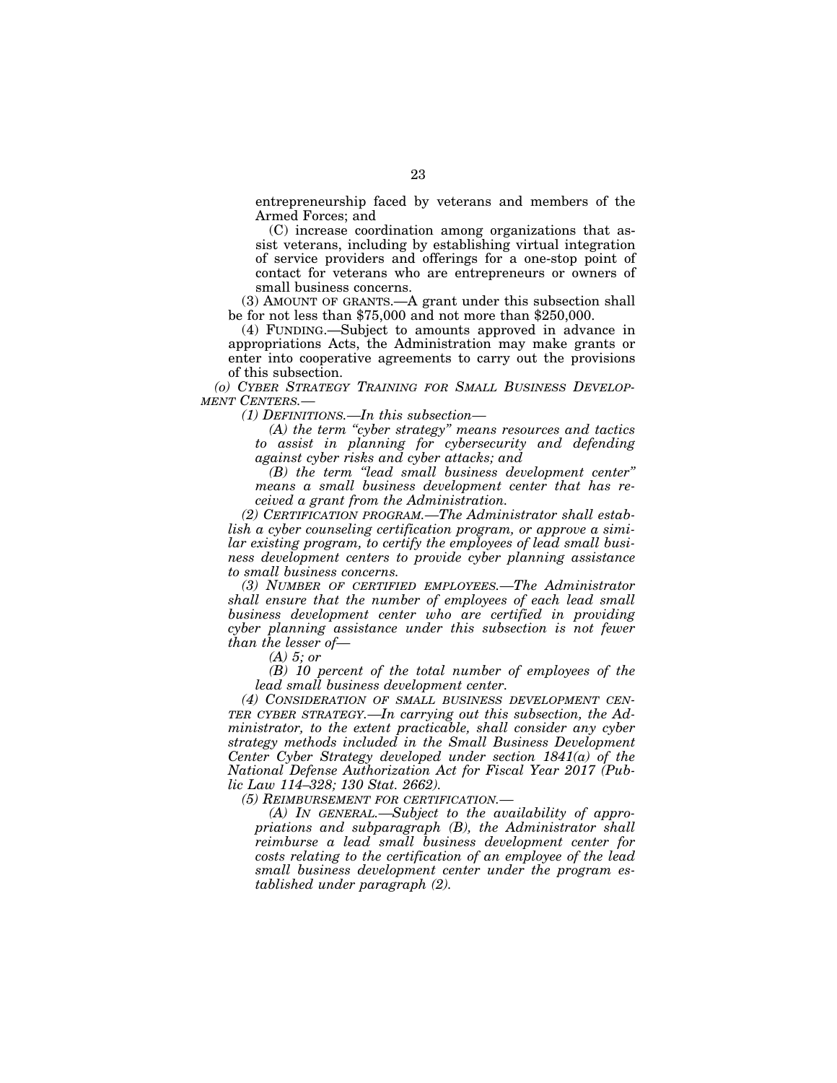entrepreneurship faced by veterans and members of the Armed Forces; and

(C) increase coordination among organizations that assist veterans, including by establishing virtual integration of service providers and offerings for a one-stop point of contact for veterans who are entrepreneurs or owners of small business concerns.

(3) AMOUNT OF GRANTS.—A grant under this subsection shall be for not less than \$75,000 and not more than \$250,000.

(4) FUNDING.—Subject to amounts approved in advance in appropriations Acts, the Administration may make grants or enter into cooperative agreements to carry out the provisions of this subsection.

*(o) CYBER STRATEGY TRAINING FOR SMALL BUSINESS DEVELOP-MENT CENTERS.—* 

*(1) DEFINITIONS.—In this subsection—* 

*(A) the term ''cyber strategy'' means resources and tactics to assist in planning for cybersecurity and defending against cyber risks and cyber attacks; and* 

*(B) the term ''lead small business development center'' means a small business development center that has received a grant from the Administration.* 

*(2) CERTIFICATION PROGRAM.—The Administrator shall establish a cyber counseling certification program, or approve a similar existing program, to certify the employees of lead small business development centers to provide cyber planning assistance to small business concerns.* 

*(3) NUMBER OF CERTIFIED EMPLOYEES.—The Administrator shall ensure that the number of employees of each lead small business development center who are certified in providing cyber planning assistance under this subsection is not fewer than the lesser of—* 

*(A) 5; or* 

*(B) 10 percent of the total number of employees of the lead small business development center.* 

*(4) CONSIDERATION OF SMALL BUSINESS DEVELOPMENT CEN-TER CYBER STRATEGY.—In carrying out this subsection, the Administrator, to the extent practicable, shall consider any cyber strategy methods included in the Small Business Development Center Cyber Strategy developed under section 1841(a) of the National Defense Authorization Act for Fiscal Year 2017 (Public Law 114–328; 130 Stat. 2662).* 

*(5) REIMBURSEMENT FOR CERTIFICATION.—* 

*(A) IN GENERAL.—Subject to the availability of appropriations and subparagraph (B), the Administrator shall reimburse a lead small business development center for costs relating to the certification of an employee of the lead small business development center under the program established under paragraph (2).*